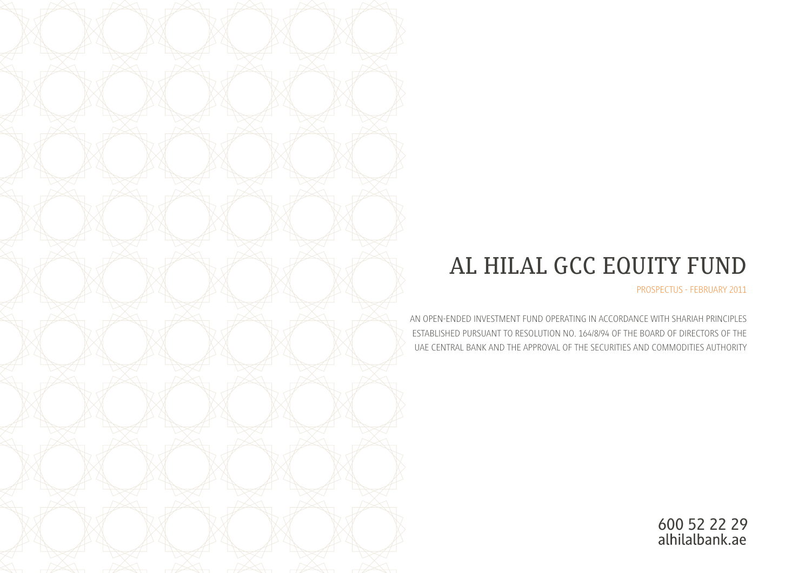# AL HILAL GCC EQUITY FUND

PROSPECTUS - FEBRUARY 2011

AN OPEN-ENDED INVESTMENT FUND OPERATING IN ACCORDANCE WITH SHARIAH PRINCIPLES ESTABLISHED PURSUANT TO RESOLUTION NO. 164/8/94 OF THE BOARD OF DIRECTORS OF THE UAE CENTRAL BANK AND THE APPROVAL OF THE SECURITIES AND COMMODITIES AUTHORITY

600 52 22 29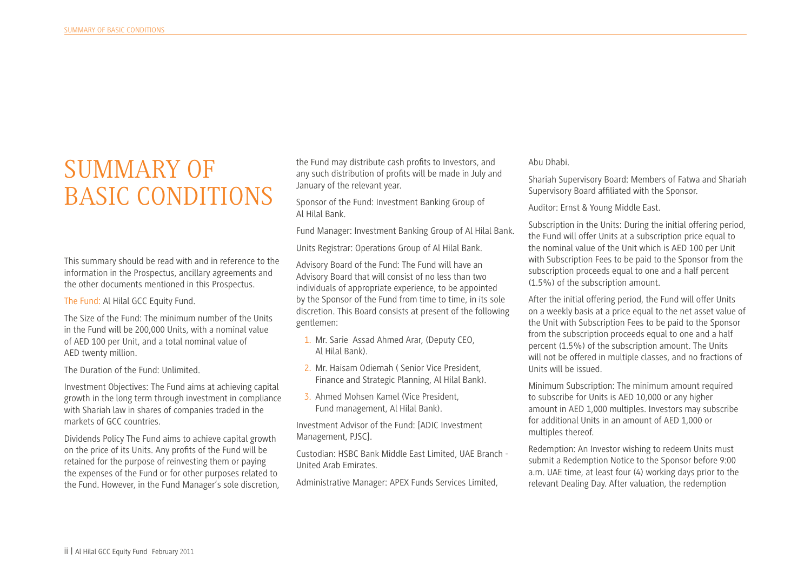### SUMMARY OF BASIC CONDITIONS

This summary should be read with and in reference to the information in the Prospectus, ancillary agreements and the other documents mentioned in this Prospectus.

The Fund: Al Hilal GCC Equity Fund.

The Size of the Fund: The minimum number of the Units in the Fund will be 200,000 Units, with a nominal value of AED 100 per Unit, and a total nominal value of AED twenty million.

The Duration of the Fund: Unlimited.

Investment Objectives: The Fund aims at achieving capital growth in the long term through investment in compliance with Shariah law in shares of companies traded in the markets of GCC countries.

Dividends Policy The Fund aims to achieve capital growth on the price of its Units. Any profts of the Fund will be retained for the purpose of reinvesting them or paying the expenses of the Fund or for other purposes related to the Fund. However, in the Fund Manager's sole discretion,

the Fund may distribute cash profts to Investors, and any such distribution of profts will be made in July and January of the relevant year.

Sponsor of the Fund: Investment Banking Group of Al Hilal Bank.

Fund Manager: Investment Banking Group of Al Hilal Bank.

Units Registrar: Operations Group of Al Hilal Bank.

Advisory Board of the Fund: The Fund will have an Advisory Board that will consist of no less than two individuals of appropriate experience, to be appointed by the Sponsor of the Fund from time to time, in its sole discretion. This Board consists at present of the following gentlemen:

- 1. Mr. Sarie Assad Ahmed Arar, (Deputy CEO, Al Hilal Bank).
- 2. Mr. Haisam Odiemah ( Senior Vice President, Finance and Strategic Planning, Al Hilal Bank).
- 3. Ahmed Mohsen Kamel (Vice President, Fund management, Al Hilal Bank).

Investment Advisor of the Fund: [ADIC Investment Management, PJSC].

Custodian: HSBC Bank Middle East Limited, UAE Branch - United Arab Emirates.

Administrative Manager: APEX Funds Services Limited,

Abu Dhabi.

Shariah Supervisory Board: Members of Fatwa and Shariah Supervisory Board affliated with the Sponsor.

Auditor: Ernst & Young Middle East.

Subscription in the Units: During the initial offering period, the Fund will offer Units at a subscription price equal to the nominal value of the Unit which is AED 100 per Unit with Subscription Fees to be paid to the Sponsor from the subscription proceeds equal to one and a half percent (1.5%) of the subscription amount.

After the initial offering period, the Fund will offer Units on a weekly basis at a price equal to the net asset value of the Unit with Subscription Fees to be paid to the Sponsor from the subscription proceeds equal to one and a half percent (1.5%) of the subscription amount. The Units will not be offered in multiple classes, and no fractions of Units will be issued.

Minimum Subscription: The minimum amount required to subscribe for Units is AED 10,000 or any higher amount in AED 1,000 multiples. Investors may subscribe for additional Units in an amount of AED 1,000 or multiples thereof.

Redemption: An Investor wishing to redeem Units must submit a Redemption Notice to the Sponsor before 9:00 a.m. UAE time, at least four (4) working days prior to the relevant Dealing Day. After valuation, the redemption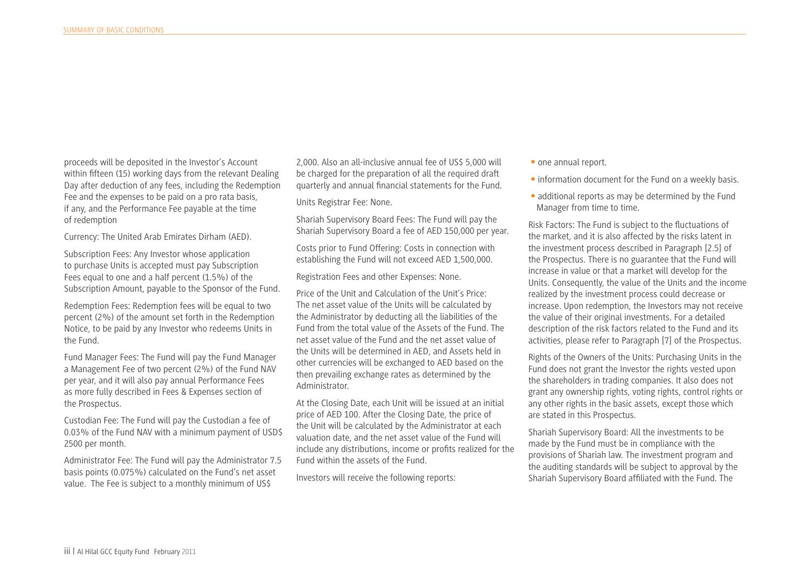proceeds will be deposited in the Investor's Account within ffteen (15) working days from the relevant Dealing Day after deduction of any fees, including the Redemption Fee and the expenses to be paid on a pro rata basis, if any, and the Performance Fee payable at the time of redemption

Currency: The United Arab Emirates Dirham (AED).

Subscription Fees: Any Investor whose application to purchase Units is accepted must pay Subscription Fees equal to one and a half percent (1.5%) of the Subscription Amount, payable to the Sponsor of the Fund.

Redemption Fees: Redemption fees will be equal to two percent (2%) of the amount set forth in the Redemption Notice, to be paid by any Investor who redeems Units in the Fund.

Fund Manager Fees: The Fund will pay the Fund Manager a Management Fee of two percent (2%) of the Fund NAV per year, and it will also pay annual Performance Fees as more fully described in Fees & Expenses section of the Prospectus.

Custodian Fee: The Fund will pay the Custodian a fee of 0.03% of the Fund NAV with a minimum payment of USD\$ 2500 per month.

Administrator Fee: The Fund will pay the Administrator 7.5 basis points (0.075%) calculated on the Fund's net asset value. The Fee is subject to a monthly minimum of US\$

2,000. Also an all-inclusive annual fee of US\$ 5,000 will be charged for the preparation of all the required draft quarterly and annual fnancial statements for the Fund.

Units Registrar Fee: None.

Shariah Supervisory Board Fees: The Fund will pay the Shariah Supervisory Board a fee of AED 150,000 per year.

Costs prior to Fund Offering: Costs in connection with establishing the Fund will not exceed AED 1,500,000.

Registration Fees and other Expenses: None.

Price of the Unit and Calculation of the Unit's Price: The net asset value of the Units will be calculated by the Administrator by deducting all the liabilities of the Fund from the total value of the Assets of the Fund. The net asset value of the Fund and the net asset value of the Units will be determined in AED, and Assets held in other currencies will be exchanged to AED based on the then prevailing exchange rates as determined by the Administrator.

At the Closing Date, each Unit will be issued at an initial price of AED 100. After the Closing Date, the price of the Unit will be calculated by the Administrator at each valuation date, and the net asset value of the Fund will include any distributions, income or profts realized for the Fund within the assets of the Fund.

Investors will receive the following reports:

- one annual report.
- information document for the Fund on a weekly basis.
- additional reports as may be determined by the Fund Manager from time to time.

Risk Factors: The Fund is subject to the fuctuations of the market, and it is also affected by the risks latent in the investment process described in Paragraph [2.5] of the Prospectus. There is no guarantee that the Fund will increase in value or that a market will develop for the Units. Consequently, the value of the Units and the income realized by the investment process could decrease or increase. Upon redemption, the Investors may not receive the value of their original investments. For a detailed description of the risk factors related to the Fund and its activities, please refer to Paragraph [7] of the Prospectus.

Rights of the Owners of the Units: Purchasing Units in the Fund does not grant the Investor the rights vested upon the shareholders in trading companies. It also does not grant any ownership rights, voting rights, control rights or any other rights in the basic assets, except those which are stated in this Prospectus.

Shariah Supervisory Board: All the investments to be made by the Fund must be in compliance with the provisions of Shariah law. The investment program and the auditing standards will be subject to approval by the Shariah Supervisory Board affliated with the Fund. The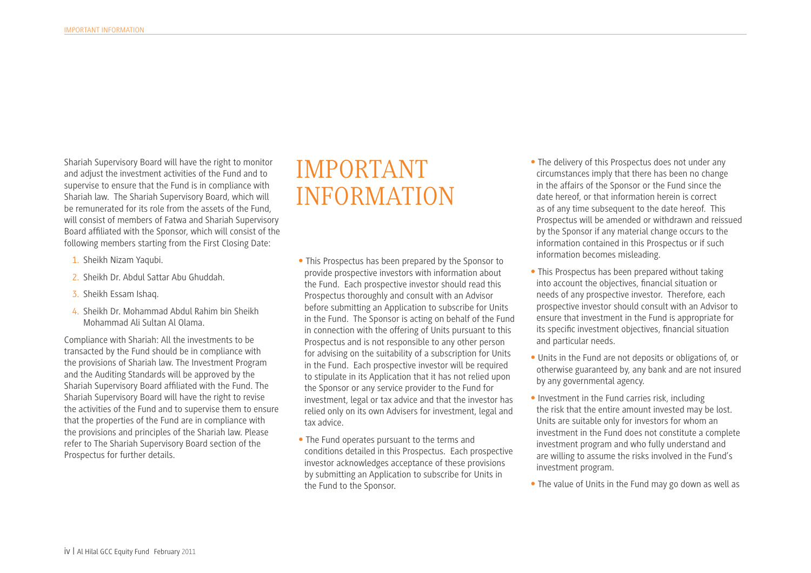Shariah Supervisory Board will have the right to monitor and adjust the investment activities of the Fund and to supervise to ensure that the Fund is in compliance with Shariah law. The Shariah Supervisory Board, which will be remunerated for its role from the assets of the Fund, will consist of members of Fatwa and Shariah Supervisory Board affliated with the Sponsor, which will consist of the following members starting from the First Closing Date:

- 1. Sheikh Nizam Yaqubi.
- 2. Sheikh Dr. Abdul Sattar Abu Ghuddah.
- 3. Sheikh Essam Ishaq.
- 4. Sheikh Dr. Mohammad Abdul Rahim bin Sheikh Mohammad Ali Sultan Al Olama.

Compliance with Shariah: All the investments to be transacted by the Fund should be in compliance with the provisions of Shariah law. The Investment Program and the Auditing Standards will be approved by the Shariah Supervisory Board affliated with the Fund. The Shariah Supervisory Board will have the right to revise the activities of the Fund and to supervise them to ensure that the properties of the Fund are in compliance with the provisions and principles of the Shariah law. Please refer to The Shariah Supervisory Board section of the Prospectus for further details.

#### IMPORTANT INFORMATION

- This Prospectus has been prepared by the Sponsor to provide prospective investors with information about the Fund. Each prospective investor should read this Prospectus thoroughly and consult with an Advisor before submitting an Application to subscribe for Units in the Fund. The Sponsor is acting on behalf of the Fund in connection with the offering of Units pursuant to this Prospectus and is not responsible to any other person for advising on the suitability of a subscription for Units in the Fund. Each prospective investor will be required to stipulate in its Application that it has not relied upon the Sponsor or any service provider to the Fund for investment, legal or tax advice and that the investor has relied only on its own Advisers for investment, legal and tax advice.
- The Fund operates pursuant to the terms and conditions detailed in this Prospectus. Each prospective investor acknowledges acceptance of these provisions by submitting an Application to subscribe for Units in the Fund to the Sponsor.
- The delivery of this Prospectus does not under any circumstances imply that there has been no change in the affairs of the Sponsor or the Fund since the date hereof, or that information herein is correct as of any time subsequent to the date hereof. This Prospectus will be amended or withdrawn and reissued by the Sponsor if any material change occurs to the information contained in this Prospectus or if such information becomes misleading.
- This Prospectus has been prepared without taking into account the objectives, fnancial situation or needs of any prospective investor. Therefore, each prospective investor should consult with an Advisor to ensure that investment in the Fund is appropriate for its specifc investment objectives, fnancial situation and particular needs.
- Units in the Fund are not deposits or obligations of, or otherwise guaranteed by, any bank and are not insured by any governmental agency.
- Investment in the Fund carries risk, including the risk that the entire amount invested may be lost. Units are suitable only for investors for whom an investment in the Fund does not constitute a complete investment program and who fully understand and are willing to assume the risks involved in the Fund's investment program.
- The value of Units in the Fund may go down as well as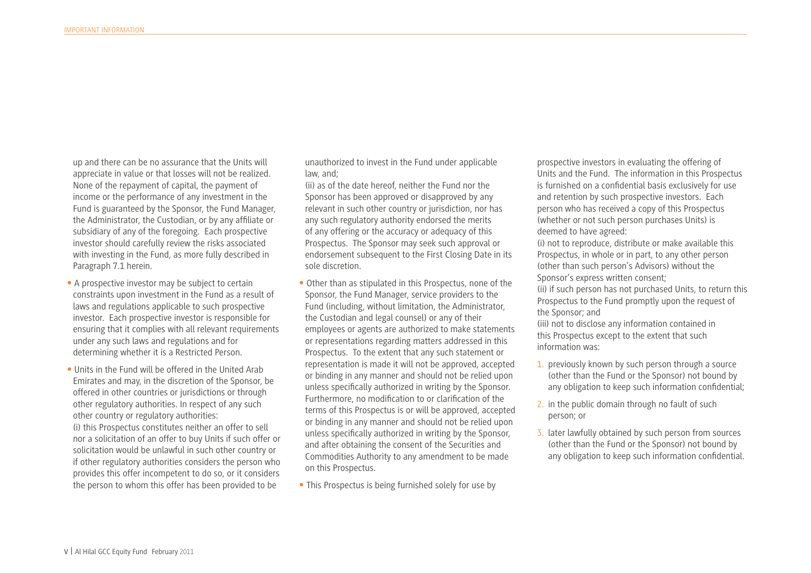up and there can be no assurance that the Units will appreciate in value or that losses will not be realized. None of the repayment of capital, the payment of income or the performance of any investment in the Fund is guaranteed by the Sponsor, the Fund Manager, the Administrator, the Custodian, or by any affliate or subsidiary of any of the foregoing. Each prospective investor should carefully review the risks associated with investing in the Fund, as more fully described in Paragraph 7.1 herein.

- A prospective investor may be subject to certain constraints upon investment in the Fund as a result of laws and regulations applicable to such prospective investor. Each prospective investor is responsible for ensuring that it complies with all relevant requirements under any such laws and regulations and for determining whether it is a Restricted Person.
- Units in the Fund will be offered in the United Arab Emirates and may, in the discretion of the Sponsor, be offered in other countries or jurisdictions or through other regulatory authorities. In respect of any such other country or regulatory authorities: (i) this Prospectus constitutes neither an offer to sell nor a solicitation of an offer to buy Units if such offer or solicitation would be unlawful in such other country or if other regulatory authorities considers the person who provides this offer incompetent to do so, or it considers the person to whom this offer has been provided to be

unauthorized to invest in the Fund under applicable law, and;

(ii) as of the date hereof, neither the Fund nor the Sponsor has been approved or disapproved by any relevant in such other country or jurisdiction, nor has any such regulatory authority endorsed the merits of any offering or the accuracy or adequacy of this Prospectus. The Sponsor may seek such approval or endorsement subsequent to the First Closing Date in its sole discretion.

- Other than as stipulated in this Prospectus, none of the Sponsor, the Fund Manager, service providers to the Fund (including, without limitation, the Administrator, the Custodian and legal counsel) or any of their employees or agents are authorized to make statements or representations regarding matters addressed in this Prospectus. To the extent that any such statement or representation is made it will not be approved, accepted or binding in any manner and should not be relied upon unless specifcally authorized in writing by the Sponsor. Furthermore, no modifcation to or clarifcation of the terms of this Prospectus is or will be approved, accepted or binding in any manner and should not be relied upon unless specifcally authorized in writing by the Sponsor, and after obtaining the consent of the Securities and Commodities Authority to any amendment to be made on this Prospectus.
- This Prospectus is being furnished solely for use by

prospective investors in evaluating the offering of Units and the Fund. The information in this Prospectus is furnished on a confdential basis exclusively for use and retention by such prospective investors. Each person who has received a copy of this Prospectus (whether or not such person purchases Units) is deemed to have agreed:

(i) not to reproduce, distribute or make available this Prospectus, in whole or in part, to any other person (other than such person's Advisors) without the Sponsor's express written consent;

(ii) if such person has not purchased Units, to return this Prospectus to the Fund promptly upon the request of the Sponsor; and

(iii) not to disclose any information contained in this Prospectus except to the extent that such information was:

- 1. previously known by such person through a source (other than the Fund or the Sponsor) not bound by any obligation to keep such information confdential;
- 2. in the public domain through no fault of such person; or
- 3. later lawfully obtained by such person from sources (other than the Fund or the Sponsor) not bound by any obligation to keep such information confdential.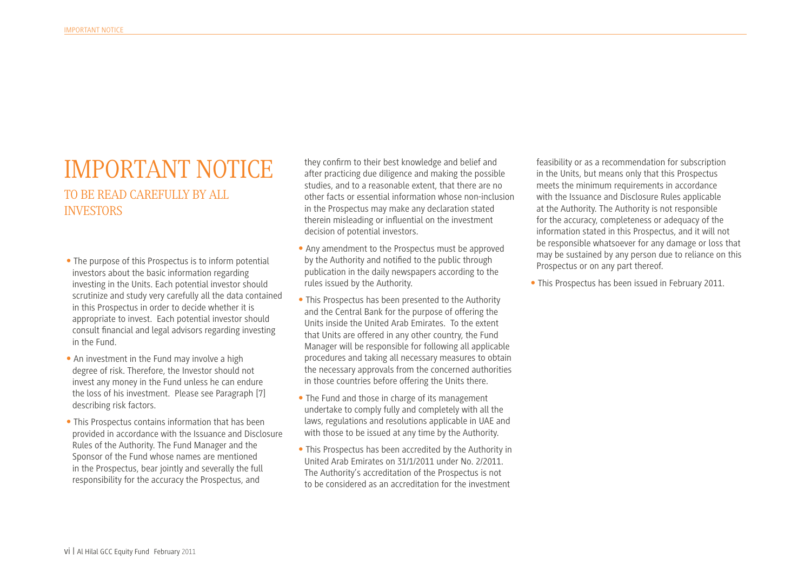# IMPORTANT NOTICE

TO BE READ CAREFULLY BY ALL **INVESTORS** 

- The purpose of this Prospectus is to inform potential investors about the basic information regarding investing in the Units. Each potential investor should scrutinize and study very carefully all the data contained in this Prospectus in order to decide whether it is appropriate to invest. Each potential investor should consult fnancial and legal advisors regarding investing in the Fund.
- An investment in the Fund may involve a high degree of risk. Therefore, the Investor should not invest any money in the Fund unless he can endure the loss of his investment. Please see Paragraph [7] describing risk factors.
- This Prospectus contains information that has been provided in accordance with the Issuance and Disclosure Rules of the Authority. The Fund Manager and the Sponsor of the Fund whose names are mentioned in the Prospectus, bear jointly and severally the full responsibility for the accuracy the Prospectus, and

they confrm to their best knowledge and belief and after practicing due diligence and making the possible studies, and to a reasonable extent, that there are no other facts or essential information whose non-inclusion in the Prospectus may make any declaration stated therein misleading or infuential on the investment decision of potential investors.

- Any amendment to the Prospectus must be approved by the Authority and notifed to the public through publication in the daily newspapers according to the rules issued by the Authority.
- This Prospectus has been presented to the Authority and the Central Bank for the purpose of offering the Units inside the United Arab Emirates. To the extent that Units are offered in any other country, the Fund Manager will be responsible for following all applicable procedures and taking all necessary measures to obtain the necessary approvals from the concerned authorities in those countries before offering the Units there.
- The Fund and those in charge of its management undertake to comply fully and completely with all the laws, regulations and resolutions applicable in UAE and with those to be issued at any time by the Authority.
- This Prospectus has been accredited by the Authority in United Arab Emirates on 31/1/2011 under No. 2/2011. The Authority's accreditation of the Prospectus is not to be considered as an accreditation for the investment

feasibility or as a recommendation for subscription in the Units, but means only that this Prospectus meets the minimum requirements in accordance with the Issuance and Disclosure Rules applicable at the Authority. The Authority is not responsible for the accuracy, completeness or adequacy of the information stated in this Prospectus, and it will not be responsible whatsoever for any damage or loss that may be sustained by any person due to reliance on this Prospectus or on any part thereof.

• This Prospectus has been issued in February 2011.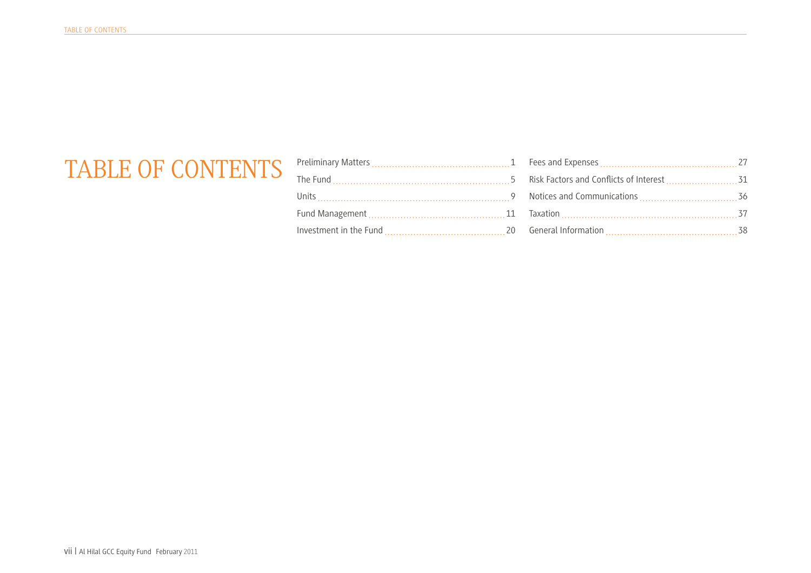## TABLE OF CONTENTS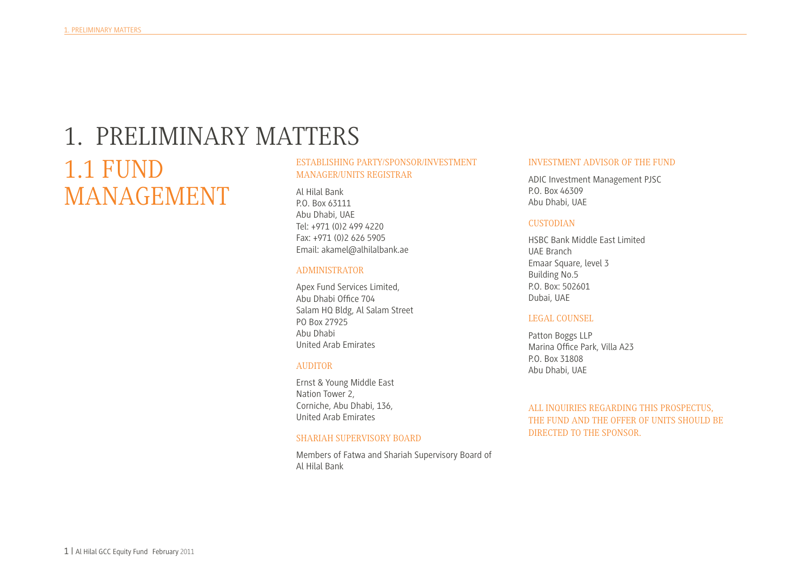# 1. PRELIMINARY MATTERS 1.1 FUND

MANAGEMENT

#### ESTABLISHING PARTY/SPONSOR/INVESTMENT MANAGER/UNITS REGISTRAR

Al Hilal Bank P.O. Box 63111 Abu Dhabi, UAE Tel: +971 (0)2 499 4220 Fax: +971 (0)2 626 5905 Email: akamel@alhilalbank.ae

#### ADMINISTRATOR

Apex Fund Services Limited, Abu Dhabi Offce 704 Salam HQ Bldg, Al Salam Street PO Box 27925 Abu Dhabi United Arab Emirates

#### AUDITOR

Ernst & Young Middle East Nation Tower 2, Corniche, Abu Dhabi, 136, United Arab Emirates

#### SHARIAH SUPERVISORY BOARD

Members of Fatwa and Shariah Supervisory Board of Al Hilal Bank

#### INVESTMENT ADVISOR OF THE FUND

ADIC Investment Management PJSC P.O. Box 46309 Abu Dhabi, UAE

#### CUSTODIAN

HSBC Bank Middle East Limited UAE Branch Emaar Square, level 3 Building No.5 P.O. Box: 502601 Dubai, UAE

#### LEGAL COUNSEL

Patton Boggs LLP Marina Offce Park, Villa A23 P.O. Box 31808 Abu Dhabi, UAE

ALL INQUIRIES REGARDING THIS PROSPECTUS, THE FUND AND THE OFFER OF UNITS SHOULD BE DIRECTED TO THE SPONSOR.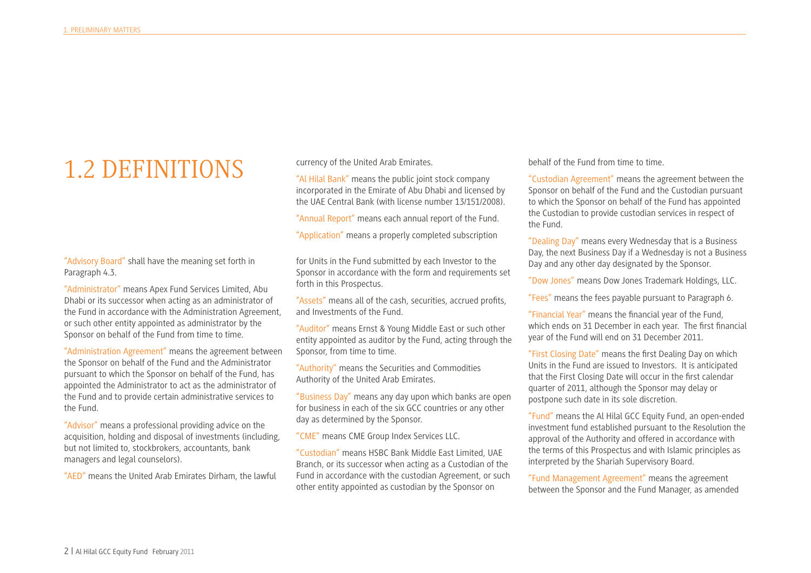# 1.2 DEFINITIONS

"Advisory Board" shall have the meaning set forth in Paragraph 4.3.

"Administrator" means Apex Fund Services Limited, Abu Dhabi or its successor when acting as an administrator of the Fund in accordance with the Administration Agreement, or such other entity appointed as administrator by the Sponsor on behalf of the Fund from time to time.

"Administration Agreement" means the agreement between the Sponsor on behalf of the Fund and the Administrator pursuant to which the Sponsor on behalf of the Fund, has appointed the Administrator to act as the administrator of the Fund and to provide certain administrative services to the Fund.

"Advisor" means a professional providing advice on the acquisition, holding and disposal of investments (including, but not limited to, stockbrokers, accountants, bank managers and legal counselors).

"AED" means the United Arab Emirates Dirham, the lawful

currency of the United Arab Emirates.

"Al Hilal Bank" means the public joint stock company incorporated in the Emirate of Abu Dhabi and licensed by the UAE Central Bank (with license number 13/151/2008).

"Annual Report" means each annual report of the Fund.

"Application" means a properly completed subscription

for Units in the Fund submitted by each Investor to the Sponsor in accordance with the form and requirements set forth in this Prospectus.

"Assets" means all of the cash, securities, accrued profts, and Investments of the Fund.

"Auditor" means Ernst & Young Middle East or such other entity appointed as auditor by the Fund, acting through the Sponsor, from time to time.

"Authority" means the Securities and Commodities Authority of the United Arab Emirates.

"Business Day" means any day upon which banks are open for business in each of the six GCC countries or any other day as determined by the Sponsor.

"CME" means CME Group Index Services LLC.

"Custodian" means HSBC Bank Middle East Limited, UAE Branch, or its successor when acting as a Custodian of the Fund in accordance with the custodian Agreement, or such other entity appointed as custodian by the Sponsor on

behalf of the Fund from time to time.

"Custodian Agreement" means the agreement between the Sponsor on behalf of the Fund and the Custodian pursuant to which the Sponsor on behalf of the Fund has appointed the Custodian to provide custodian services in respect of the Fund.

"Dealing Day" means every Wednesday that is a Business Day, the next Business Day if a Wednesday is not a Business Day and any other day designated by the Sponsor.

"Dow Jones" means Dow Jones Trademark Holdings, LLC.

"Fees" means the fees payable pursuant to Paragraph 6.

"Financial Year" means the fnancial year of the Fund, which ends on 31 December in each year. The frst fnancial year of the Fund will end on 31 December 2011.

"First Closing Date" means the frst Dealing Day on which Units in the Fund are issued to Investors. It is anticipated that the First Closing Date will occur in the frst calendar quarter of 2011, although the Sponsor may delay or postpone such date in its sole discretion.

"Fund" means the Al Hilal GCC Equity Fund, an open-ended investment fund established pursuant to the Resolution the approval of the Authority and offered in accordance with the terms of this Prospectus and with Islamic principles as interpreted by the Shariah Supervisory Board.

"Fund Management Agreement" means the agreement between the Sponsor and the Fund Manager, as amended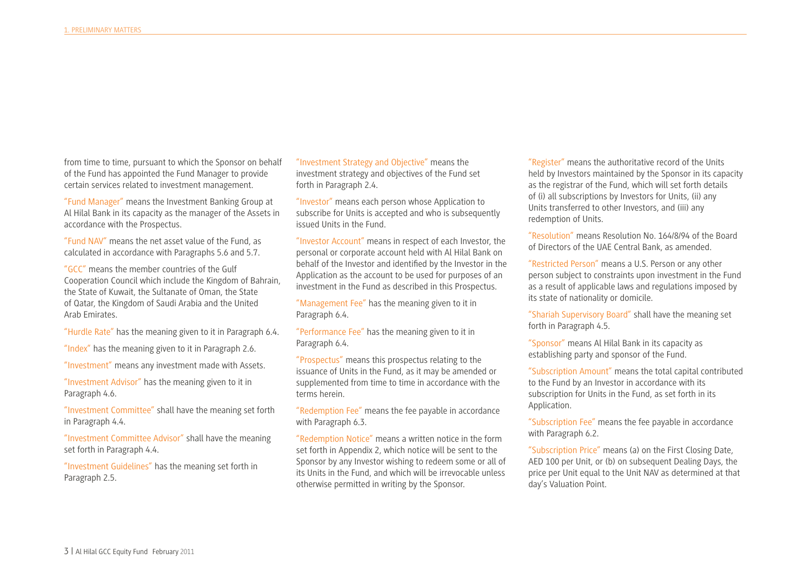from time to time, pursuant to which the Sponsor on behalf of the Fund has appointed the Fund Manager to provide certain services related to investment management.

"Fund Manager" means the Investment Banking Group at Al Hilal Bank in its capacity as the manager of the Assets in accordance with the Prospectus.

"Fund NAV" means the net asset value of the Fund, as calculated in accordance with Paragraphs 5.6 and 5.7.

"GCC" means the member countries of the Gulf Cooperation Council which include the Kingdom of Bahrain, the State of Kuwait, the Sultanate of Oman, the State of Qatar, the Kingdom of Saudi Arabia and the United Arab Emirates.

"Hurdle Rate" has the meaning given to it in Paragraph 6.4.

"Index" has the meaning given to it in Paragraph 2.6.

"Investment" means any investment made with Assets.

"Investment Advisor" has the meaning given to it in Paragraph 4.6.

"Investment Committee" shall have the meaning set forth in Paragraph 4.4.

"Investment Committee Advisor" shall have the meaning set forth in Paragraph 4.4.

"Investment Guidelines" has the meaning set forth in Paragraph 2.5.

"Investment Strategy and Objective" means the investment strategy and objectives of the Fund set forth in Paragraph 2.4.

"Investor" means each person whose Application to subscribe for Units is accepted and who is subsequently issued Units in the Fund.

"Investor Account" means in respect of each Investor, the personal or corporate account held with Al Hilal Bank on behalf of the Investor and identifed by the Investor in the Application as the account to be used for purposes of an investment in the Fund as described in this Prospectus.

"Management Fee" has the meaning given to it in Paragraph 6.4.

"Performance Fee" has the meaning given to it in Paragraph 6.4.

"Prospectus" means this prospectus relating to the issuance of Units in the Fund, as it may be amended or supplemented from time to time in accordance with the terms herein.

"Redemption Fee" means the fee payable in accordance with Paragraph 6.3.

"Redemption Notice" means a written notice in the form set forth in Appendix 2, which notice will be sent to the Sponsor by any Investor wishing to redeem some or all of its Units in the Fund, and which will be irrevocable unless otherwise permitted in writing by the Sponsor.

"Register" means the authoritative record of the Units held by Investors maintained by the Sponsor in its capacity as the registrar of the Fund, which will set forth details of (i) all subscriptions by Investors for Units, (ii) any Units transferred to other Investors, and (iii) any redemption of Units.

"Resolution" means Resolution No. 164/8/94 of the Board of Directors of the UAE Central Bank, as amended.

"Restricted Person" means a U.S. Person or any other person subject to constraints upon investment in the Fund as a result of applicable laws and regulations imposed by its state of nationality or domicile.

"Shariah Supervisory Board" shall have the meaning set forth in Paragraph 4.5.

"Sponsor" means Al Hilal Bank in its capacity as establishing party and sponsor of the Fund.

"Subscription Amount" means the total capital contributed to the Fund by an Investor in accordance with its subscription for Units in the Fund, as set forth in its Application.

"Subscription Fee" means the fee payable in accordance with Paragraph 6.2.

"Subscription Price" means (a) on the First Closing Date, AED 100 per Unit, or (b) on subsequent Dealing Days, the price per Unit equal to the Unit NAV as determined at that day's Valuation Point.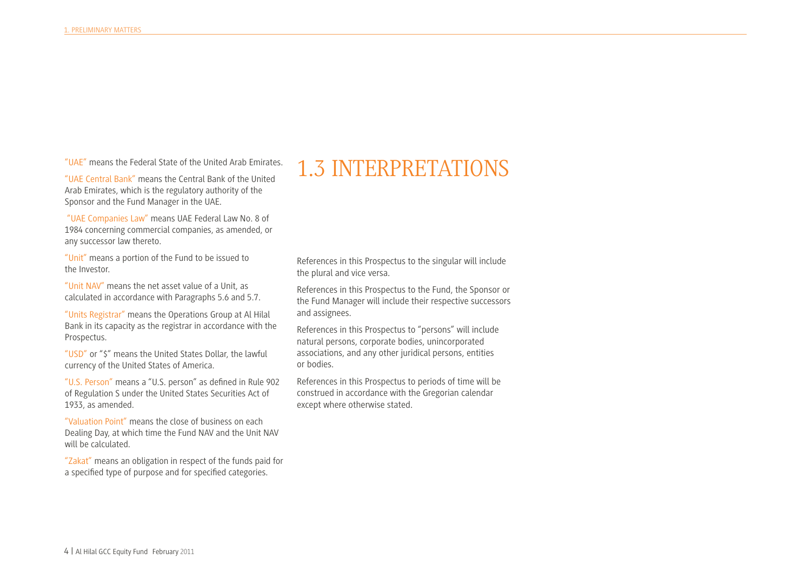"UAE" means the Federal State of the United Arab Emirates.

"UAE Central Bank" means the Central Bank of the United Arab Emirates, which is the regulatory authority of the Sponsor and the Fund Manager in the UAE.

 "UAE Companies Law" means UAE Federal Law No. 8 of 1984 concerning commercial companies, as amended, or any successor law thereto.

"Unit" means a portion of the Fund to be issued to the Investor.

"Unit NAV" means the net asset value of a Unit, as calculated in accordance with Paragraphs 5.6 and 5.7.

"Units Registrar" means the Operations Group at Al Hilal Bank in its capacity as the registrar in accordance with the Prospectus.

"USD" or "\$" means the United States Dollar, the lawful currency of the United States of America.

"U.S. Person" means a "U.S. person" as defned in Rule 902 of Regulation S under the United States Securities Act of 1933, as amended.

"Valuation Point" means the close of business on each Dealing Day, at which time the Fund NAV and the Unit NAV will be calculated.

"Zakat" means an obligation in respect of the funds paid for a specifed type of purpose and for specifed categories.

#### 1.3 INTERPRETATIONS

References in this Prospectus to the singular will include the plural and vice versa.

References in this Prospectus to the Fund, the Sponsor or the Fund Manager will include their respective successors and assignees.

References in this Prospectus to "persons" will include natural persons, corporate bodies, unincorporated associations, and any other juridical persons, entities or bodies.

References in this Prospectus to periods of time will be construed in accordance with the Gregorian calendar except where otherwise stated.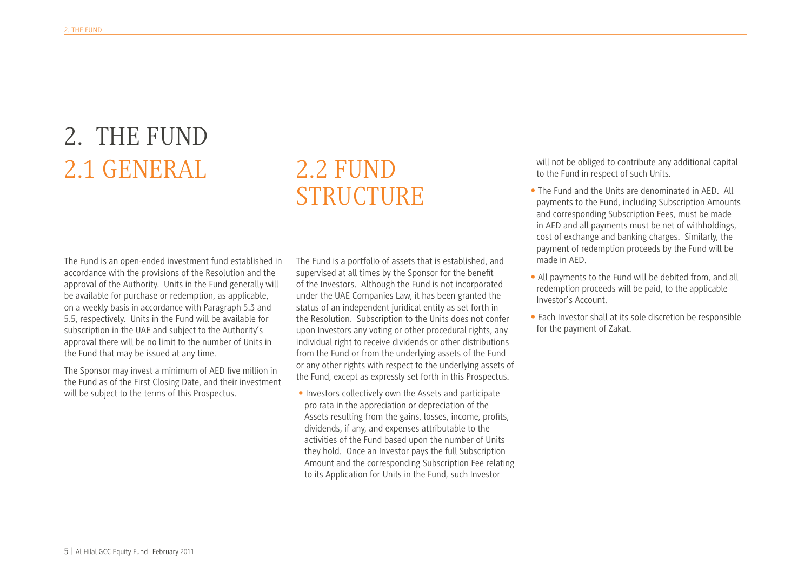# 2. THE FUND 2.1 GENERAL

# 2.2 FUND STRUCTURE

The Fund is an open-ended investment fund established in accordance with the provisions of the Resolution and the approval of the Authority. Units in the Fund generally will be available for purchase or redemption, as applicable, on a weekly basis in accordance with Paragraph 5.3 and 5.5, respectively. Units in the Fund will be available for subscription in the UAE and subject to the Authority's approval there will be no limit to the number of Units in the Fund that may be issued at any time.

The Sponsor may invest a minimum of AED fve million in the Fund as of the First Closing Date, and their investment will be subject to the terms of this Prospectus.

The Fund is a portfolio of assets that is established, and supervised at all times by the Sponsor for the beneft of the Investors. Although the Fund is not incorporated under the UAE Companies Law, it has been granted the status of an independent juridical entity as set forth in the Resolution. Subscription to the Units does not confer upon Investors any voting or other procedural rights, any individual right to receive dividends or other distributions from the Fund or from the underlying assets of the Fund or any other rights with respect to the underlying assets of the Fund, except as expressly set forth in this Prospectus.

• Investors collectively own the Assets and participate pro rata in the appreciation or depreciation of the Assets resulting from the gains, losses, income, profts, dividends, if any, and expenses attributable to the activities of the Fund based upon the number of Units they hold. Once an Investor pays the full Subscription Amount and the corresponding Subscription Fee relating to its Application for Units in the Fund, such Investor

will not be obliged to contribute any additional capital to the Fund in respect of such Units.

- The Fund and the Units are denominated in AED. All payments to the Fund, including Subscription Amounts and corresponding Subscription Fees, must be made in AED and all payments must be net of withholdings, cost of exchange and banking charges. Similarly, the payment of redemption proceeds by the Fund will be made in AED.
- All payments to the Fund will be debited from, and all redemption proceeds will be paid, to the applicable Investor's Account.
- Each Investor shall at its sole discretion be responsible for the payment of Zakat.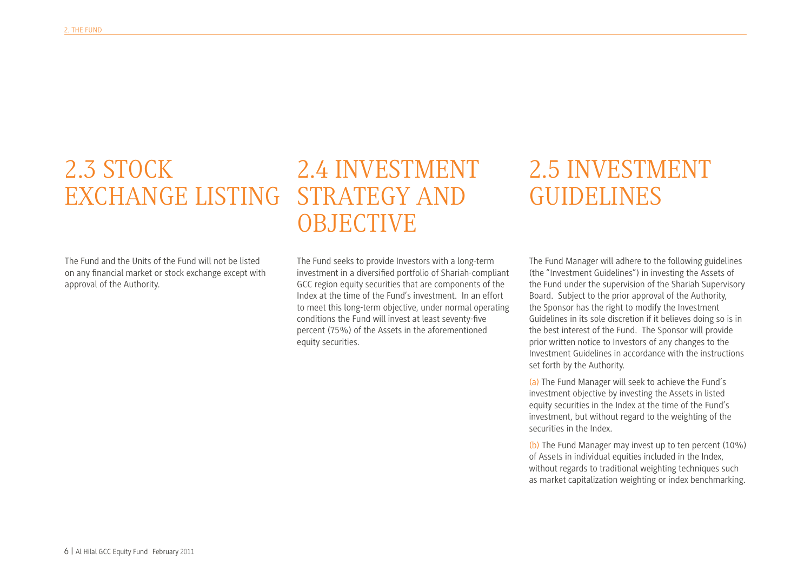#### 2.3 STOCK EXCHANGE LISTING STRATEGY AND 2.4 INVESTMENT OBJECTIVE

The Fund and the Units of the Fund will not be listed on any fnancial market or stock exchange except with approval of the Authority.

The Fund seeks to provide Investors with a long-term investment in a diversifed portfolio of Shariah-compliant GCC region equity securities that are components of the Index at the time of the Fund's investment. In an effort to meet this long-term objective, under normal operating conditions the Fund will invest at least seventy-fve percent (75%) of the Assets in the aforementioned equity securities.

#### 2.5 INVESTMENT GUIDELINES

The Fund Manager will adhere to the following guidelines (the "Investment Guidelines") in investing the Assets of the Fund under the supervision of the Shariah Supervisory Board. Subject to the prior approval of the Authority, the Sponsor has the right to modify the Investment Guidelines in its sole discretion if it believes doing so is in the best interest of the Fund. The Sponsor will provide prior written notice to Investors of any changes to the Investment Guidelines in accordance with the instructions set forth by the Authority.

(a) The Fund Manager will seek to achieve the Fund's investment objective by investing the Assets in listed equity securities in the Index at the time of the Fund's investment, but without regard to the weighting of the securities in the Index.

(b) The Fund Manager may invest up to ten percent (10%) of Assets in individual equities included in the Index, without regards to traditional weighting techniques such as market capitalization weighting or index benchmarking.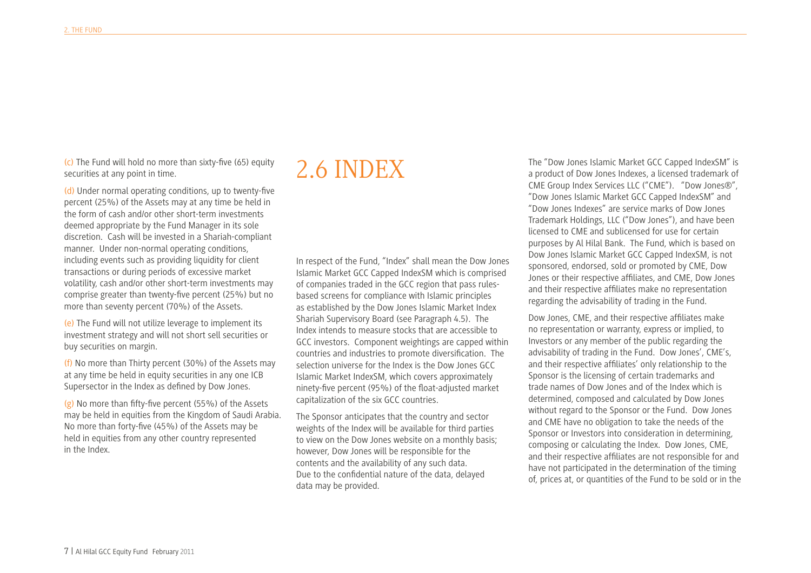(c) The Fund will hold no more than sixty-five (65) equity  $2.6 \text{ INDER}$ securities at any point in time.

(d) Under normal operating conditions, up to twenty-fve percent (25%) of the Assets may at any time be held in the form of cash and/or other short-term investments deemed appropriate by the Fund Manager in its sole discretion. Cash will be invested in a Shariah-compliant manner. Under non-normal operating conditions, including events such as providing liquidity for client transactions or during periods of excessive market volatility, cash and/or other short-term investments may comprise greater than twenty-fve percent (25%) but no more than seventy percent (70%) of the Assets.

(e) The Fund will not utilize leverage to implement its investment strategy and will not short sell securities or buy securities on margin.

(f) No more than Thirty percent (30%) of the Assets may at any time be held in equity securities in any one ICB Supersector in the Index as defned by Dow Jones.

(g) No more than ffty-fve percent (55%) of the Assets may be held in equities from the Kingdom of Saudi Arabia. No more than forty-fve (45%) of the Assets may be held in equities from any other country represented in the Index.

In respect of the Fund, "Index" shall mean the Dow Jones Islamic Market GCC Capped IndexSM which is comprised of companies traded in the GCC region that pass rulesbased screens for compliance with Islamic principles as established by the Dow Jones Islamic Market Index Shariah Supervisory Board (see Paragraph 4.5). The Index intends to measure stocks that are accessible to GCC investors. Component weightings are capped within countries and industries to promote diversifcation. The selection universe for the Index is the Dow Jones GCC Islamic Market IndexSM, which covers approximately ninety-fve percent (95%) of the foat-adjusted market capitalization of the six GCC countries.

The Sponsor anticipates that the country and sector weights of the Index will be available for third parties to view on the Dow Jones website on a monthly basis; however, Dow Jones will be responsible for the contents and the availability of any such data. Due to the confdential nature of the data, delayed data may be provided.

The "Dow Jones Islamic Market GCC Capped IndexSM" is a product of Dow Jones Indexes, a licensed trademark of CME Group Index Services LLC ("CME"). "Dow Jones®", "Dow Jones Islamic Market GCC Capped IndexSM" and "Dow Jones Indexes" are service marks of Dow Jones Trademark Holdings, LLC ("Dow Jones"), and have been licensed to CME and sublicensed for use for certain purposes by Al Hilal Bank. The Fund, which is based on Dow Jones Islamic Market GCC Capped IndexSM, is not sponsored, endorsed, sold or promoted by CME, Dow Jones or their respective affliates, and CME, Dow Jones and their respective affliates make no representation regarding the advisability of trading in the Fund.

Dow Jones, CME, and their respective affliates make no representation or warranty, express or implied, to Investors or any member of the public regarding the advisability of trading in the Fund. Dow Jones', CME's, and their respective affliates' only relationship to the Sponsor is the licensing of certain trademarks and trade names of Dow Jones and of the Index which is determined, composed and calculated by Dow Jones without regard to the Sponsor or the Fund. Dow Jones and CME have no obligation to take the needs of the Sponsor or Investors into consideration in determining, composing or calculating the Index. Dow Jones, CME, and their respective affliates are not responsible for and have not participated in the determination of the timing of, prices at, or quantities of the Fund to be sold or in the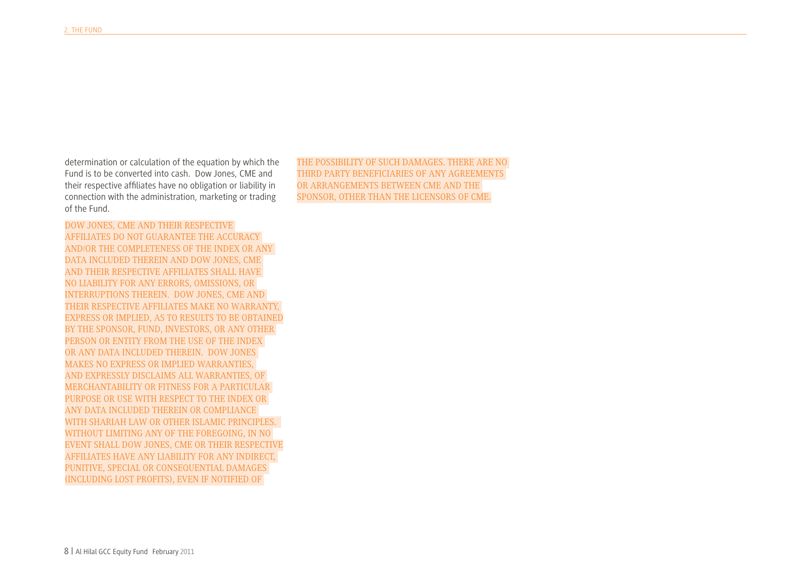determination or calculation of the equation by which the Fund is to be converted into cash. Dow Jones, CME and their respective affliates have no obligation or liability in connection with the administration, marketing or trading of the Fund.

DOW JONES, CME AND THEIR RESPECTIVE AFFILIATES DO NOT GUARANTEE THE ACCURACY AND/OR THE COMPLETENESS OF THE INDEX OR ANY DATA INCLUDED THEREIN AND DOW JONES, CME AND THEIR RESPECTIVE AFFILIATES SHALL HAVE NO LIABILITY FOR ANY ERRORS, OMISSIONS, OR INTERRUPTIONS THEREIN. DOW JONES, CME AND THEIR RESPECTIVE AFFILIATES MAKE NO WARRANTY, EXPRESS OR IMPLIED, AS TO RESULTS TO BE OBTAINED BY THE SPONSOR, FUND, INVESTORS, OR ANY OTHER PERSON OR ENTITY FROM THE USE OF THE INDEX OR ANY DATA INCLUDED THEREIN. DOW JONES MAKES NO EXPRESS OR IMPLIED WARRANTIES, AND EXPRESSLY DISCLAIMS ALL WARRANTIES, OF MERCHANTABILITY OR FITNESS FOR A PARTICULAR PURPOSE OR USE WITH RESPECT TO THE INDEX OR ANY DATA INCLUDED THEREIN OR COMPLIANCE WITH SHARIAH LAW OR OTHER ISLAMIC PRINCIPLES. WITHOUT LIMITING ANY OF THE FOREGOING, IN NO EVENT SHALL DOW JONES, CME OR THEIR RESPECTIVE AFFILIATES HAVE ANY LIABILITY FOR ANY INDIRECT, PUNITIVE, SPECIAL OR CONSEQUENTIAL DAMAGES (INCLUDING LOST PROFITS), EVEN IF NOTIFIED OF

THE POSSIBILITY OF SUCH DAMAGES. THERE ARE NO THIRD PARTY BENEFICIARIES OF ANY AGREEMENTS OR ARRANGEMENTS BETWEEN CME AND THE SPONSOR, OTHER THAN THE LICENSORS OF CME.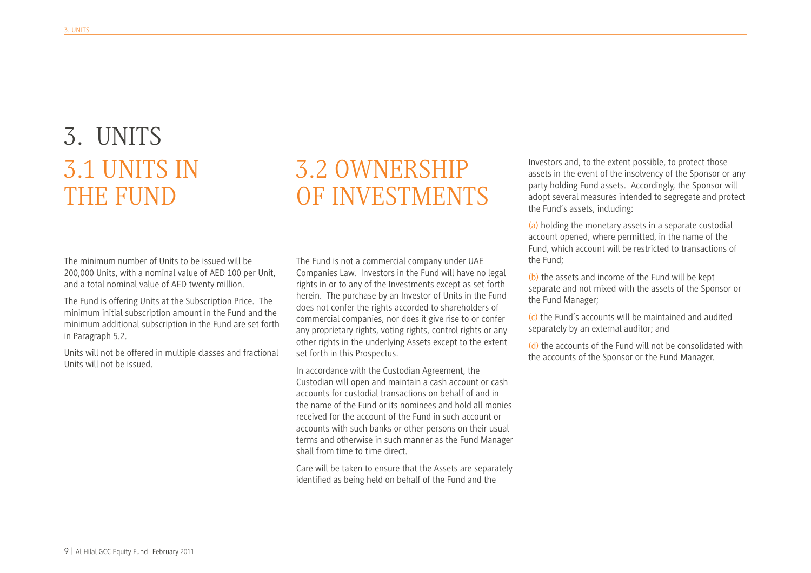# 3.1 UNITS IN THE FUND 3. UNITS

#### 3.2 OWNERSHIP OF INVESTMENTS

The minimum number of Units to be issued will be 200,000 Units, with a nominal value of AED 100 per Unit, and a total nominal value of AED twenty million.

The Fund is offering Units at the Subscription Price. The minimum initial subscription amount in the Fund and the minimum additional subscription in the Fund are set forth in Paragraph 5.2.

Units will not be offered in multiple classes and fractional Units will not be issued.

The Fund is not a commercial company under UAE Companies Law. Investors in the Fund will have no legal rights in or to any of the Investments except as set forth herein. The purchase by an Investor of Units in the Fund does not confer the rights accorded to shareholders of commercial companies, nor does it give rise to or confer any proprietary rights, voting rights, control rights or any other rights in the underlying Assets except to the extent set forth in this Prospectus.

In accordance with the Custodian Agreement, the Custodian will open and maintain a cash account or cash accounts for custodial transactions on behalf of and in the name of the Fund or its nominees and hold all monies received for the account of the Fund in such account or accounts with such banks or other persons on their usual terms and otherwise in such manner as the Fund Manager shall from time to time direct.

Care will be taken to ensure that the Assets are separately identifed as being held on behalf of the Fund and the

Investors and, to the extent possible, to protect those assets in the event of the insolvency of the Sponsor or any party holding Fund assets. Accordingly, the Sponsor will adopt several measures intended to segregate and protect the Fund's assets, including:

(a) holding the monetary assets in a separate custodial account opened, where permitted, in the name of the Fund, which account will be restricted to transactions of the Fund;

(b) the assets and income of the Fund will be kept separate and not mixed with the assets of the Sponsor or the Fund Manager;

(c) the Fund's accounts will be maintained and audited separately by an external auditor; and

(d) the accounts of the Fund will not be consolidated with the accounts of the Sponsor or the Fund Manager.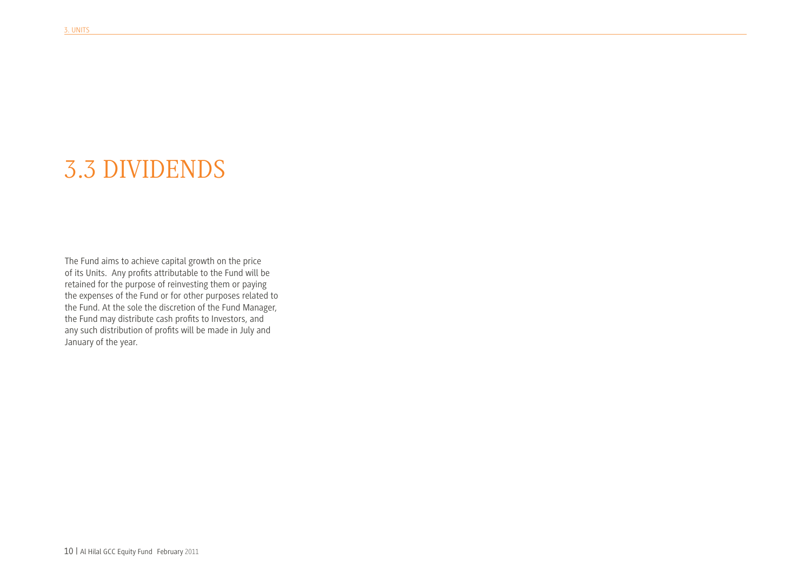# 3.3 DIVIDENDS

The Fund aims to achieve capital growth on the price of its Units. Any profts attributable to the Fund will be retained for the purpose of reinvesting them or paying the expenses of the Fund or for other purposes related to the Fund. At the sole the discretion of the Fund Manager, the Fund may distribute cash profts to Investors, and any such distribution of profts will be made in July and January of the year.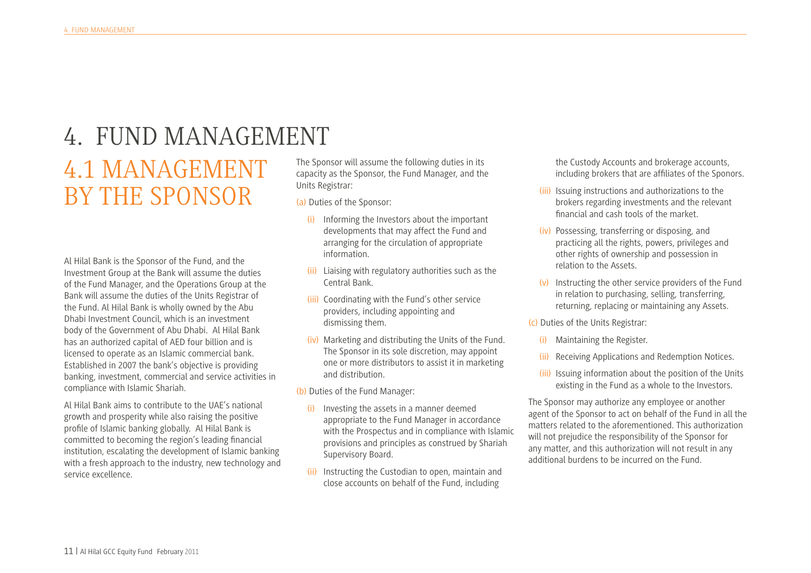## 4. FUND MANAGEMENT

# 4.1 MANAGEMENT BY THE SPONSOR

Al Hilal Bank is the Sponsor of the Fund, and the Investment Group at the Bank will assume the duties of the Fund Manager, and the Operations Group at the Bank will assume the duties of the Units Registrar of the Fund. Al Hilal Bank is wholly owned by the Abu Dhabi Investment Council, which is an investment body of the Government of Abu Dhabi. Al Hilal Bank has an authorized capital of AED four billion and is licensed to operate as an Islamic commercial bank. Established in 2007 the bank's objective is providing banking, investment, commercial and service activities in compliance with Islamic Shariah.

Al Hilal Bank aims to contribute to the UAE's national growth and prosperity while also raising the positive profle of Islamic banking globally. Al Hilal Bank is committed to becoming the region's leading fnancial institution, escalating the development of Islamic banking with a fresh approach to the industry, new technology and service excellence.

The Sponsor will assume the following duties in its capacity as the Sponsor, the Fund Manager, and the Units Registrar:

(a) Duties of the Sponsor:

- (i) Informing the Investors about the important developments that may affect the Fund and arranging for the circulation of appropriate information.
- (ii) Liaising with regulatory authorities such as the Central Bank.
- (iii) Coordinating with the Fund's other service providers, including appointing and dismissing them.
- (iv) Marketing and distributing the Units of the Fund. The Sponsor in its sole discretion, may appoint one or more distributors to assist it in marketing and distribution.

(b) Duties of the Fund Manager:

- (i) Investing the assets in a manner deemed appropriate to the Fund Manager in accordance with the Prospectus and in compliance with Islamic provisions and principles as construed by Shariah Supervisory Board.
- (ii) Instructing the Custodian to open, maintain and close accounts on behalf of the Fund, including

the Custody Accounts and brokerage accounts, including brokers that are affliates of the Sponors.

- (iii) Issuing instructions and authorizations to the brokers regarding investments and the relevant fnancial and cash tools of the market.
- (iv) Possessing, transferring or disposing, and practicing all the rights, powers, privileges and other rights of ownership and possession in relation to the Assets.
- (v) Instructing the other service providers of the Fund in relation to purchasing, selling, transferring, returning, replacing or maintaining any Assets.

(c) Duties of the Units Registrar:

- (i) Maintaining the Register.
- (ii) Receiving Applications and Redemption Notices.
- (iii) Issuing information about the position of the Units existing in the Fund as a whole to the Investors.

The Sponsor may authorize any employee or another agent of the Sponsor to act on behalf of the Fund in all the matters related to the aforementioned. This authorization will not prejudice the responsibility of the Sponsor for any matter, and this authorization will not result in any additional burdens to be incurred on the Fund.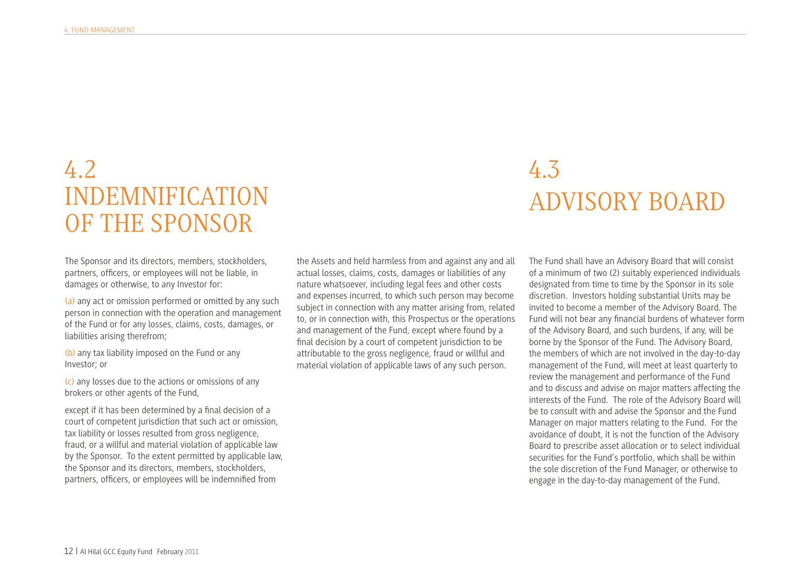#### 4.2 INDEMNIFICATION OF THE SPONSOR

# 4.3 ADVISORY BOARD

The Sponsor and its directors, members, stockholders, partners, offcers, or employees will not be liable, in damages or otherwise, to any Investor for:

(a) any act or omission performed or omitted by any such person in connection with the operation and management of the Fund or for any losses, claims, costs, damages, or liabilities arising therefrom;

(b) any tax liability imposed on the Fund or any Investor; or

(c) any losses due to the actions or omissions of any brokers or other agents of the Fund,

except if it has been determined by a fnal decision of a court of competent jurisdiction that such act or omission, tax liability or losses resulted from gross negligence, fraud, or a willful and material violation of applicable law by the Sponsor. To the extent permitted by applicable law, the Sponsor and its directors, members, stockholders, partners, offcers, or employees will be indemnifed from

the Assets and held harmless from and against any and all actual losses, claims, costs, damages or liabilities of any nature whatsoever, including legal fees and other costs and expenses incurred, to which such person may become subject in connection with any matter arising from, related to, or in connection with, this Prospectus or the operations and management of the Fund, except where found by a fnal decision by a court of competent jurisdiction to be attributable to the gross negligence, fraud or willful and material violation of applicable laws of any such person.

The Fund shall have an Advisory Board that will consist of a minimum of two (2) suitably experienced individuals designated from time to time by the Sponsor in its sole discretion. Investors holding substantial Units may be invited to become a member of the Advisory Board. The Fund will not bear any fnancial burdens of whatever form of the Advisory Board, and such burdens, if any, will be borne by the Sponsor of the Fund. The Advisory Board, the members of which are not involved in the day-to-day management of the Fund, will meet at least quarterly to review the management and performance of the Fund and to discuss and advise on major matters affecting the interests of the Fund. The role of the Advisory Board will be to consult with and advise the Sponsor and the Fund Manager on major matters relating to the Fund. For the avoidance of doubt, it is not the function of the Advisory Board to prescribe asset allocation or to select individual securities for the Fund's portfolio, which shall be within the sole discretion of the Fund Manager, or otherwise to engage in the day-to-day management of the Fund.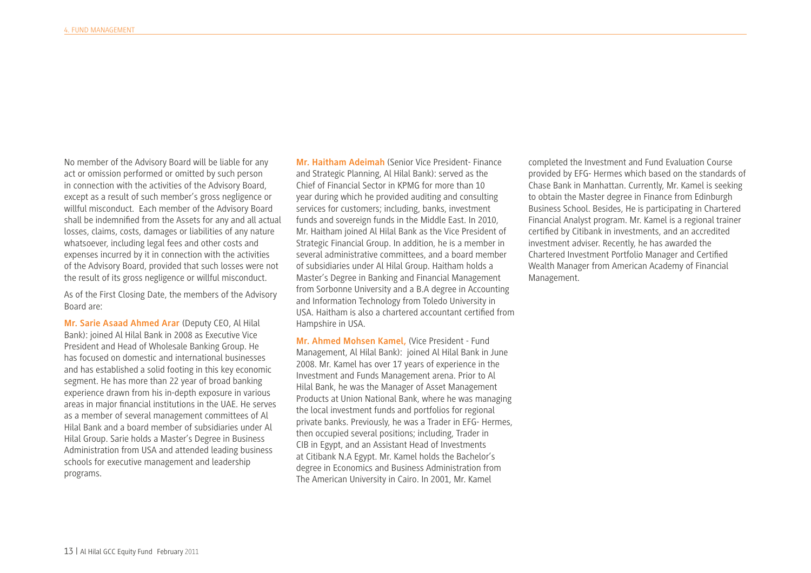No member of the Advisory Board will be liable for any act or omission performed or omitted by such person in connection with the activities of the Advisory Board, except as a result of such member's gross negligence or willful misconduct. Each member of the Advisory Board shall be indemnifed from the Assets for any and all actual losses, claims, costs, damages or liabilities of any nature whatsoever, including legal fees and other costs and expenses incurred by it in connection with the activities of the Advisory Board, provided that such losses were not the result of its gross negligence or willful misconduct.

As of the First Closing Date, the members of the Advisory Board are:

**Mr. Sarie Asaad Ahmed Arar** (Deputy CEO, Al Hilal Bank): joined Al Hilal Bank in 2008 as Executive Vice President and Head of Wholesale Banking Group. He has focused on domestic and international businesses and has established a solid footing in this key economic segment. He has more than 22 year of broad banking experience drawn from his in-depth exposure in various areas in major fnancial institutions in the UAE. He serves as a member of several management committees of Al Hilal Bank and a board member of subsidiaries under Al Hilal Group. Sarie holds a Master's Degree in Business Administration from USA and attended leading business schools for executive management and leadership programs.

**Mr. Haitham Adeimah** (Senior Vice President- Finance and Strategic Planning, Al Hilal Bank): served as the Chief of Financial Sector in KPMG for more than 10 year during which he provided auditing and consulting services for customers; including, banks, investment funds and sovereign funds in the Middle East. In 2010, Mr. Haitham joined Al Hilal Bank as the Vice President of Strategic Financial Group. In addition, he is a member in several administrative committees, and a board member of subsidiaries under Al Hilal Group. Haitham holds a Master's Degree in Banking and Financial Management from Sorbonne University and a B.A degree in Accounting and Information Technology from Toledo University in USA. Haitham is also a chartered accountant certifed from Hampshire in USA.

**Mr. Ahmed Mohsen Kamel,** (Vice President - Fund Management, Al Hilal Bank): joined Al Hilal Bank in June 2008. Mr. Kamel has over 17 years of experience in the Investment and Funds Management arena. Prior to Al Hilal Bank, he was the Manager of Asset Management Products at Union National Bank, where he was managing the local investment funds and portfolios for regional private banks. Previously, he was a Trader in EFG- Hermes, then occupied several positions; including, Trader in CIB in Egypt, and an Assistant Head of Investments at Citibank N.A Egypt. Mr. Kamel holds the Bachelor's degree in Economics and Business Administration from The American University in Cairo. In 2001, Mr. Kamel

completed the Investment and Fund Evaluation Course provided by EFG- Hermes which based on the standards of Chase Bank in Manhattan. Currently, Mr. Kamel is seeking to obtain the Master degree in Finance from Edinburgh Business School. Besides, He is participating in Chartered Financial Analyst program. Mr. Kamel is a regional trainer certifed by Citibank in investments, and an accredited investment adviser. Recently, he has awarded the Chartered Investment Portfolio Manager and Certifed Wealth Manager from American Academy of Financial Management.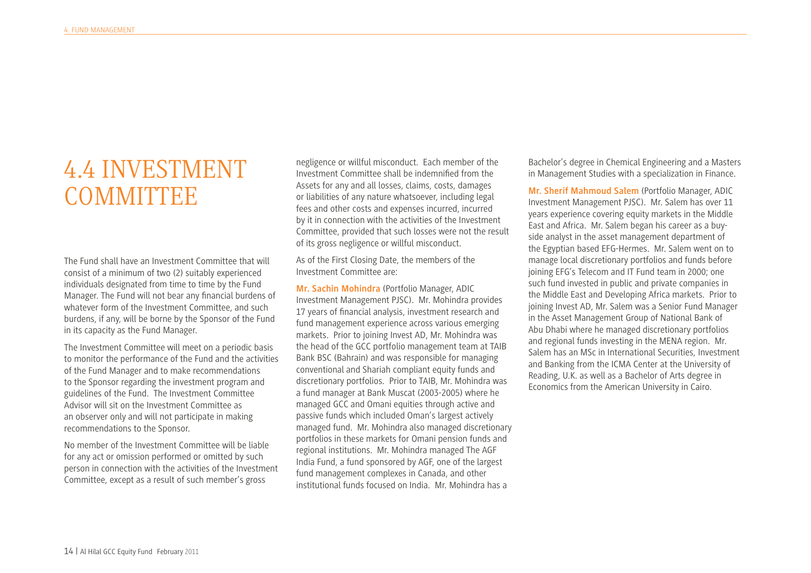#### 4.4 INVESTMENT **COMMITTEE**

The Fund shall have an Investment Committee that will consist of a minimum of two (2) suitably experienced individuals designated from time to time by the Fund Manager. The Fund will not bear any fnancial burdens of whatever form of the Investment Committee, and such burdens, if any, will be borne by the Sponsor of the Fund in its capacity as the Fund Manager.

The Investment Committee will meet on a periodic basis to monitor the performance of the Fund and the activities of the Fund Manager and to make recommendations to the Sponsor regarding the investment program and guidelines of the Fund. The Investment Committee Advisor will sit on the Investment Committee as an observer only and will not participate in making recommendations to the Sponsor.

No member of the Investment Committee will be liable for any act or omission performed or omitted by such person in connection with the activities of the Investment Committee, except as a result of such member's gross

negligence or willful misconduct. Each member of the Investment Committee shall be indemnifed from the Assets for any and all losses, claims, costs, damages or liabilities of any nature whatsoever, including legal fees and other costs and expenses incurred, incurred by it in connection with the activities of the Investment Committee, provided that such losses were not the result of its gross negligence or willful misconduct.

As of the First Closing Date, the members of the Investment Committee are:

**Mr. Sachin Mohindra** (Portfolio Manager, ADIC Investment Management PJSC). Mr. Mohindra provides 17 years of fnancial analysis, investment research and fund management experience across various emerging markets. Prior to joining Invest AD, Mr. Mohindra was the head of the GCC portfolio management team at TAIB Bank BSC (Bahrain) and was responsible for managing conventional and Shariah compliant equity funds and discretionary portfolios. Prior to TAIB, Mr. Mohindra was a fund manager at Bank Muscat (2003-2005) where he managed GCC and Omani equities through active and passive funds which included Oman's largest actively managed fund. Mr. Mohindra also managed discretionary portfolios in these markets for Omani pension funds and regional institutions. Mr. Mohindra managed The AGF India Fund, a fund sponsored by AGF, one of the largest fund management complexes in Canada, and other institutional funds focused on India. Mr. Mohindra has a

Bachelor's degree in Chemical Engineering and a Masters in Management Studies with a specialization in Finance.

**Mr. Sherif Mahmoud Salem** (Portfolio Manager, ADIC Investment Management PJSC). Mr. Salem has over 11 years experience covering equity markets in the Middle East and Africa. Mr. Salem began his career as a buyside analyst in the asset management department of the Egyptian based EFG-Hermes. Mr. Salem went on to manage local discretionary portfolios and funds before joining EFG's Telecom and IT Fund team in 2000; one such fund invested in public and private companies in the Middle East and Developing Africa markets. Prior to joining Invest AD, Mr. Salem was a Senior Fund Manager in the Asset Management Group of National Bank of Abu Dhabi where he managed discretionary portfolios and regional funds investing in the MENA region. Mr. Salem has an MSc in International Securities, Investment and Banking from the ICMA Center at the University of Reading, U.K. as well as a Bachelor of Arts degree in Economics from the American University in Cairo.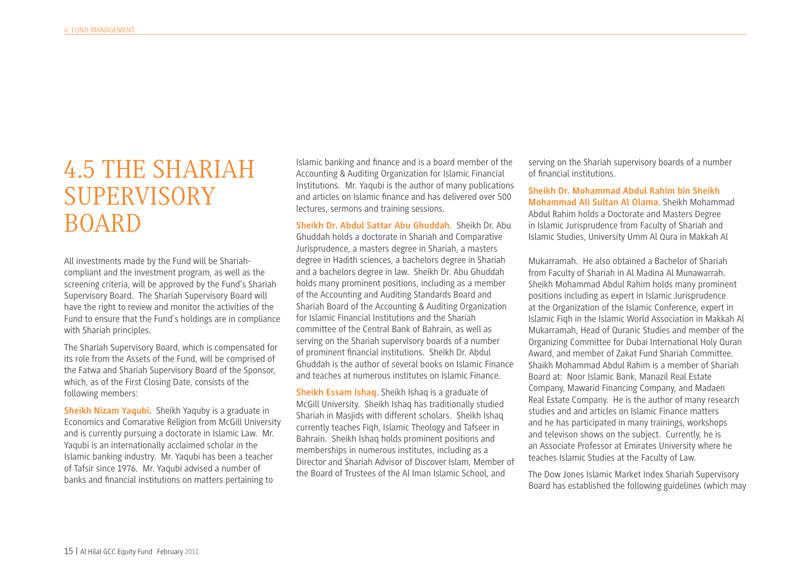## 4.5 THE SHARIAH SUPERVISORY BOARD

All investments made by the Fund will be Shariahcompliant and the investment program, as well as the screening criteria, will be approved by the Fund's Shariah Supervisory Board. The Shariah Supervisory Board will have the right to review and monitor the activities of the Fund to ensure that the Fund's holdings are in compliance with Shariah principles.

The Shariah Supervisory Board, which is compensated for its role from the Assets of the Fund, will be comprised of the Fatwa and Shariah Supervisory Board of the Sponsor, which, as of the First Closing Date, consists of the following members:

**Sheikh Nizam Yaqubi**. Sheikh Yaquby is a graduate in Economics and Comarative Religion from McGill University and is currently pursuing a doctorate in Islamic Law. Mr. Yaqubi is an internationally acclaimed scholar in the Islamic banking industry. Mr. Yaqubi has been a teacher of Tafsir since 1976. Mr. Yaqubi advised a number of banks and fnancial institutions on matters pertaining to

Islamic banking and fnance and is a board member of the Accounting & Auditing Organization for Islamic Financial Institutions. Mr. Yaqubi is the author of many publications and articles on Islamic fnance and has delivered over 500 lectures, sermons and training sessions.

**Sheikh Dr. Abdul Sattar Abu Ghuddah**. Sheikh Dr. Abu Ghuddah holds a doctorate in Shariah and Comparative Jurisprudence, a masters degree in Shariah, a masters degree in Hadith sciences, a bachelors degree in Shariah and a bachelors degree in law. Sheikh Dr. Abu Ghuddah holds many prominent positions, including as a member of the Accounting and Auditing Standards Board and Shariah Board of the Accounting & Auditing Organization for Islamic Financial Institutions and the Shariah committee of the Central Bank of Bahrain, as well as serving on the Shariah supervisory boards of a number of prominent fnancial institutions. Sheikh Dr. Abdul Ghuddah is the author of several books on Islamic Finance and teaches at numerous institutes on Islamic Finance.

**Sheikh Essam Ishaq**. Sheikh Ishaq is a graduate of McGill University. Sheikh Ishaq has traditionally studied Shariah in Masjids with different scholars. Sheikh Ishaq currently teaches Fiqh, Islamic Theology and Tafseer in Bahrain. Sheikh Ishaq holds prominent positions and memberships in numerous institutes, including as a Director and Shariah Advisor of Discover Islam, Member of the Board of Trustees of the Al Iman Islamic School, and

serving on the Shariah supervisory boards of a number of fnancial institutions.

**Sheikh Dr. Mohammad Abdul Rahim bin Sheikh Mohammad Ali Sultan Al Olama**. Sheikh Mohammad Abdul Rahim holds a Doctorate and Masters Degree in Islamic Jurisprudence from Faculty of Shariah and Islamic Studies, University Umm Al Qura in Makkah Al

Mukarramah. He also obtained a Bachelor of Shariah from Faculty of Shariah in Al Madina Al Munawarrah. Sheikh Mohammad Abdul Rahim holds many prominent positions including as expert in Islamic Jurisprudence at the Organization of the Islamic Conference, expert in Islamic Fiqh in the Islamic World Association in Makkah Al Mukarramah, Head of Quranic Studies and member of the Organizing Committee for Dubai International Holy Quran Award, and member of Zakat Fund Shariah Committee. Shaikh Mohammad Abdul Rahim is a member of Shariah Board at: Noor Islamic Bank, Manazil Real Estate Company, Mawarid Financing Company, and Madaen Real Estate Company. He is the author of many research studies and and articles on Islamic Finance matters and he has participated in many trainings, workshops and televison shows on the subject. Currently, he is an Associate Professor at Emirates University where he teaches Islamic Studies at the Faculty of Law.

The Dow Jones Islamic Market Index Shariah Supervisory Board has established the following guidelines (which may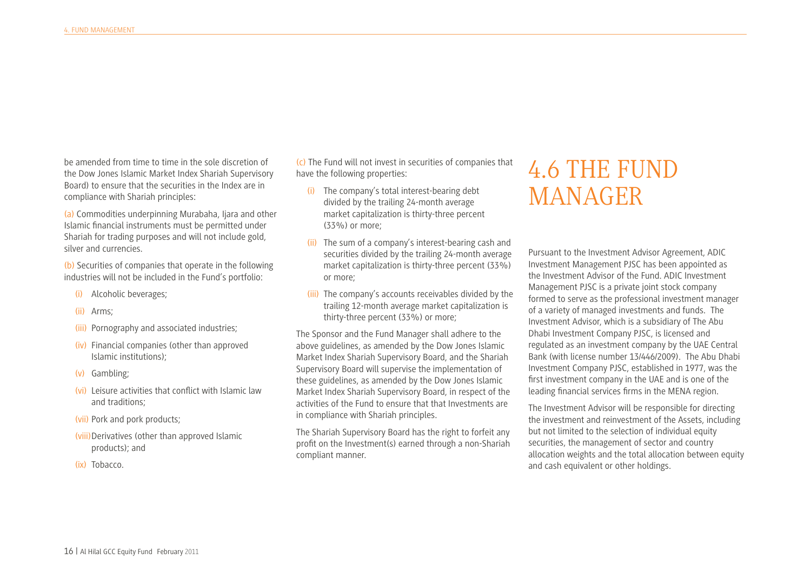be amended from time to time in the sole discretion of the Dow Jones Islamic Market Index Shariah Supervisory Board) to ensure that the securities in the Index are in compliance with Shariah principles:

(a) Commodities underpinning Murabaha, Ijara and other Islamic fnancial instruments must be permitted under Shariah for trading purposes and will not include gold, silver and currencies.

(b) Securities of companies that operate in the following industries will not be included in the Fund's portfolio:

- (i) Alcoholic beverages;
- (ii) Arms;
- (iii) Pornography and associated industries;
- (iv) Financial companies (other than approved Islamic institutions);
- (v) Gambling;
- (vi) Leisure activities that confict with Islamic law and traditions;
- (vii) Pork and pork products;
- (viii)Derivatives (other than approved Islamic products); and
- (ix) Tobacco.

(c) The Fund will not invest in securities of companies that have the following properties:

- (i) The company's total interest-bearing debt divided by the trailing 24-month average market capitalization is thirty-three percent (33%) or more;
- (ii) The sum of a company's interest-bearing cash and securities divided by the trailing 24-month average market capitalization is thirty-three percent (33%) or more;
- (iii) The company's accounts receivables divided by the trailing 12-month average market capitalization is thirty-three percent (33%) or more;

The Sponsor and the Fund Manager shall adhere to the above guidelines, as amended by the Dow Jones Islamic Market Index Shariah Supervisory Board, and the Shariah Supervisory Board will supervise the implementation of these guidelines, as amended by the Dow Jones Islamic Market Index Shariah Supervisory Board, in respect of the activities of the Fund to ensure that that Investments are in compliance with Shariah principles.

The Shariah Supervisory Board has the right to forfeit any proft on the Investment(s) earned through a non-Shariah compliant manner.

#### 4.6 THE FUND MANAGER

Pursuant to the Investment Advisor Agreement, ADIC Investment Management PJSC has been appointed as the Investment Advisor of the Fund. ADIC Investment Management PJSC is a private joint stock company formed to serve as the professional investment manager of a variety of managed investments and funds. The Investment Advisor, which is a subsidiary of The Abu Dhabi Investment Company PJSC, is licensed and regulated as an investment company by the UAE Central Bank (with license number 13/446/2009). The Abu Dhabi Investment Company PJSC, established in 1977, was the frst investment company in the UAE and is one of the leading fnancial services frms in the MENA region.

The Investment Advisor will be responsible for directing the investment and reinvestment of the Assets, including but not limited to the selection of individual equity securities, the management of sector and country allocation weights and the total allocation between equity and cash equivalent or other holdings.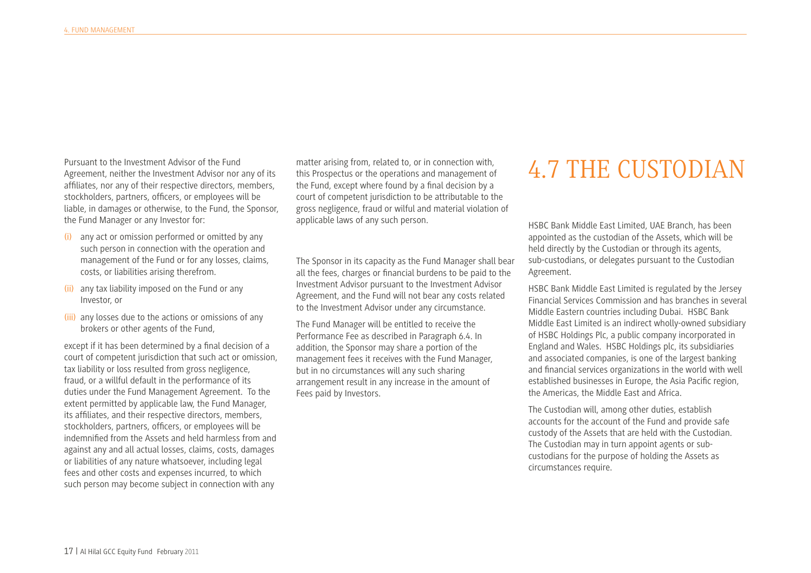Pursuant to the Investment Advisor of the Fund Agreement, neither the Investment Advisor nor any of its affliates, nor any of their respective directors, members, stockholders, partners, officers, or employees will be liable, in damages or otherwise, to the Fund, the Sponsor, the Fund Manager or any Investor for:

- (i) any act or omission performed or omitted by any such person in connection with the operation and management of the Fund or for any losses, claims, costs, or liabilities arising therefrom.
- (ii) any tax liability imposed on the Fund or any Investor, or
- (iii) any losses due to the actions or omissions of any brokers or other agents of the Fund,

except if it has been determined by a fnal decision of a court of competent jurisdiction that such act or omission, tax liability or loss resulted from gross negligence, fraud, or a willful default in the performance of its duties under the Fund Management Agreement. To the extent permitted by applicable law, the Fund Manager, its affliates, and their respective directors, members, stockholders, partners, offcers, or employees will be indemnifed from the Assets and held harmless from and against any and all actual losses, claims, costs, damages or liabilities of any nature whatsoever, including legal fees and other costs and expenses incurred, to which such person may become subject in connection with any

matter arising from, related to, or in connection with, this Prospectus or the operations and management of the Fund, except where found by a fnal decision by a court of competent jurisdiction to be attributable to the gross negligence, fraud or wilful and material violation of applicable laws of any such person.

The Sponsor in its capacity as the Fund Manager shall bear all the fees, charges or fnancial burdens to be paid to the Investment Advisor pursuant to the Investment Advisor Agreement, and the Fund will not bear any costs related to the Investment Advisor under any circumstance.

The Fund Manager will be entitled to receive the Performance Fee as described in Paragraph 6.4. In addition, the Sponsor may share a portion of the management fees it receives with the Fund Manager, but in no circumstances will any such sharing arrangement result in any increase in the amount of Fees paid by Investors.

#### 4.7 THE CUSTODIAN

HSBC Bank Middle East Limited, UAE Branch, has been appointed as the custodian of the Assets, which will be held directly by the Custodian or through its agents, sub-custodians, or delegates pursuant to the Custodian Agreement.

HSBC Bank Middle East Limited is regulated by the Jersey Financial Services Commission and has branches in several Middle Eastern countries including Dubai. HSBC Bank Middle East Limited is an indirect wholly-owned subsidiary of HSBC Holdings Plc, a public company incorporated in England and Wales. HSBC Holdings plc, its subsidiaries and associated companies, is one of the largest banking and fnancial services organizations in the world with well established businesses in Europe, the Asia Pacifc region, the Americas, the Middle East and Africa.

The Custodian will, among other duties, establish accounts for the account of the Fund and provide safe custody of the Assets that are held with the Custodian. The Custodian may in turn appoint agents or subcustodians for the purpose of holding the Assets as circumstances require.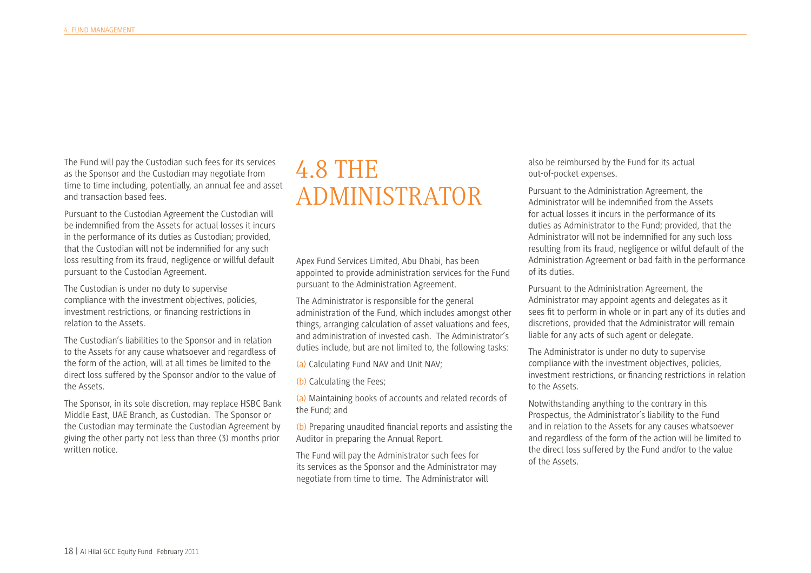The Fund will pay the Custodian such fees for its services as the Sponsor and the Custodian may negotiate from time to time including, potentially, an annual fee and asset and transaction based fees.

Pursuant to the Custodian Agreement the Custodian will be indemnifed from the Assets for actual losses it incurs in the performance of its duties as Custodian; provided, that the Custodian will not be indemnifed for any such loss resulting from its fraud, negligence or willful default pursuant to the Custodian Agreement.

The Custodian is under no duty to supervise compliance with the investment objectives, policies, investment restrictions, or fnancing restrictions in relation to the Assets.

The Custodian's liabilities to the Sponsor and in relation to the Assets for any cause whatsoever and regardless of the form of the action, will at all times be limited to the direct loss suffered by the Sponsor and/or to the value of the Assets.

The Sponsor, in its sole discretion, may replace HSBC Bank Middle East, UAE Branch, as Custodian. The Sponsor or the Custodian may terminate the Custodian Agreement by giving the other party not less than three (3) months prior written notice.

#### 4.8 THE ADMINISTRATOR

Apex Fund Services Limited, Abu Dhabi, has been appointed to provide administration services for the Fund pursuant to the Administration Agreement.

The Administrator is responsible for the general administration of the Fund, which includes amongst other things, arranging calculation of asset valuations and fees, and administration of invested cash. The Administrator's duties include, but are not limited to, the following tasks:

(a) Calculating Fund NAV and Unit NAV;

(b) Calculating the Fees;

(a) Maintaining books of accounts and related records of the Fund; and

(b) Preparing unaudited fnancial reports and assisting the Auditor in preparing the Annual Report.

The Fund will pay the Administrator such fees for its services as the Sponsor and the Administrator may negotiate from time to time. The Administrator will

also be reimbursed by the Fund for its actual out-of-pocket expenses.

Pursuant to the Administration Agreement, the Administrator will be indemnifed from the Assets for actual losses it incurs in the performance of its duties as Administrator to the Fund; provided, that the Administrator will not be indemnifed for any such loss resulting from its fraud, negligence or wilful default of the Administration Agreement or bad faith in the performance of its duties.

Pursuant to the Administration Agreement, the Administrator may appoint agents and delegates as it sees ft to perform in whole or in part any of its duties and discretions, provided that the Administrator will remain liable for any acts of such agent or delegate.

The Administrator is under no duty to supervise compliance with the investment objectives, policies, investment restrictions, or fnancing restrictions in relation to the Assets.

Notwithstanding anything to the contrary in this Prospectus, the Administrator's liability to the Fund and in relation to the Assets for any causes whatsoever and regardless of the form of the action will be limited to the direct loss suffered by the Fund and/or to the value of the Assets.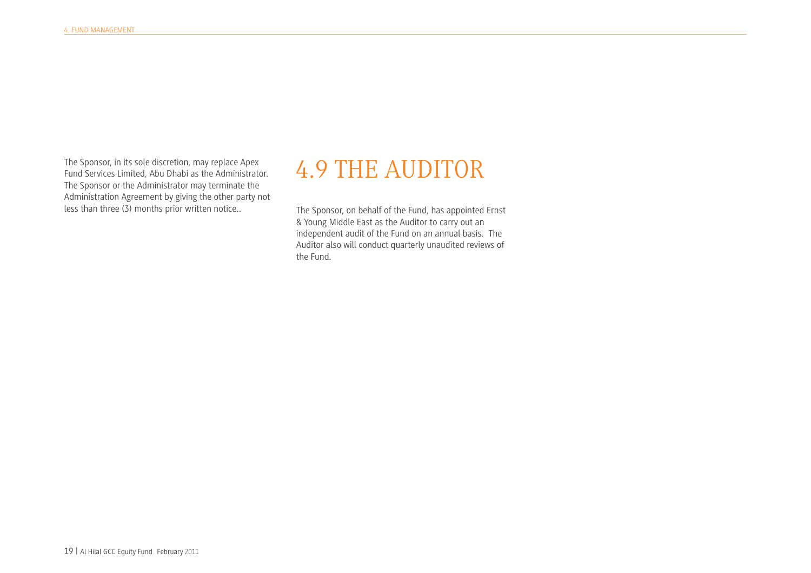The Sponsor, in its sole discretion, may replace Apex Fund Services Limited, Abu Dhabi as the Administrator. The Sponsor or the Administrator may terminate the Administration Agreement by giving the other party not less than three (3) months prior written notice..

## 4.9 THE AUDITOR

The Sponsor, on behalf of the Fund, has appointed Ernst & Young Middle East as the Auditor to carry out an independent audit of the Fund on an annual basis. The Auditor also will conduct quarterly unaudited reviews of the Fund.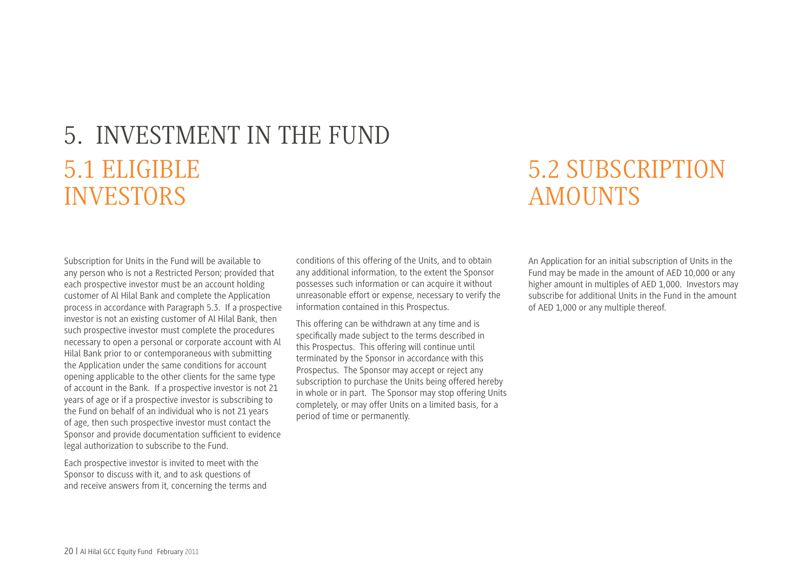# 5. INVESTMENT IN THE FUND 5.1 ELIGIBLE INVESTORS

#### 5.2 SUBSCRIPTION AMOUNTS

Subscription for Units in the Fund will be available to any person who is not a Restricted Person; provided that each prospective investor must be an account holding customer of Al Hilal Bank and complete the Application process in accordance with Paragraph 5.3. If a prospective investor is not an existing customer of Al Hilal Bank, then such prospective investor must complete the procedures necessary to open a personal or corporate account with Al Hilal Bank prior to or contemporaneous with submitting the Application under the same conditions for account opening applicable to the other clients for the same type of account in the Bank. If a prospective investor is not 21 years of age or if a prospective investor is subscribing to the Fund on behalf of an individual who is not 21 years of age, then such prospective investor must contact the Sponsor and provide documentation suffcient to evidence legal authorization to subscribe to the Fund.

Each prospective investor is invited to meet with the Sponsor to discuss with it, and to ask questions of and receive answers from it, concerning the terms and conditions of this offering of the Units, and to obtain any additional information, to the extent the Sponsor possesses such information or can acquire it without unreasonable effort or expense, necessary to verify the information contained in this Prospectus.

This offering can be withdrawn at any time and is specifcally made subject to the terms described in this Prospectus. This offering will continue until terminated by the Sponsor in accordance with this Prospectus. The Sponsor may accept or reject any subscription to purchase the Units being offered hereby in whole or in part. The Sponsor may stop offering Units completely, or may offer Units on a limited basis, for a period of time or permanently.

An Application for an initial subscription of Units in the Fund may be made in the amount of AED 10,000 or any higher amount in multiples of AED 1,000. Investors may subscribe for additional Units in the Fund in the amount of AED 1,000 or any multiple thereof.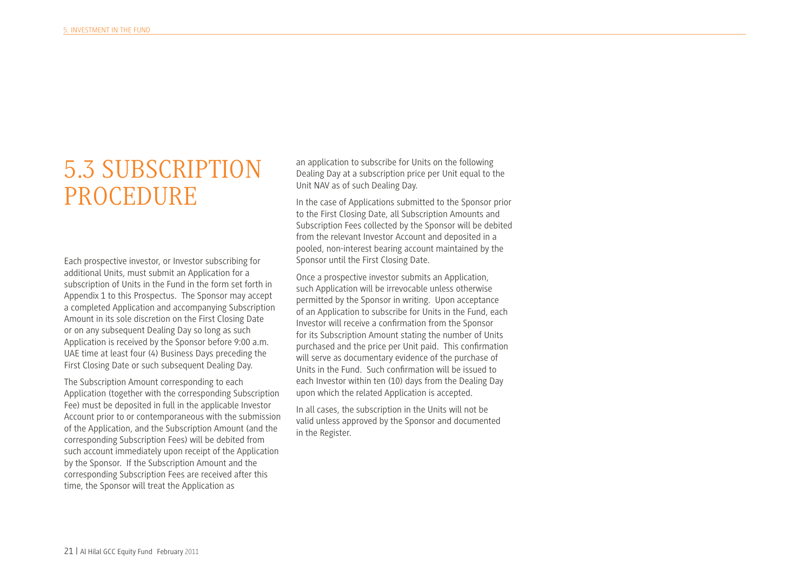#### 5.3 SUBSCRIPTION PROCEDURE

Each prospective investor, or Investor subscribing for additional Units, must submit an Application for a subscription of Units in the Fund in the form set forth in Appendix 1 to this Prospectus. The Sponsor may accept a completed Application and accompanying Subscription Amount in its sole discretion on the First Closing Date or on any subsequent Dealing Day so long as such Application is received by the Sponsor before 9:00 a.m. UAE time at least four (4) Business Days preceding the First Closing Date or such subsequent Dealing Day.

The Subscription Amount corresponding to each Application (together with the corresponding Subscription Fee) must be deposited in full in the applicable Investor Account prior to or contemporaneous with the submission of the Application, and the Subscription Amount (and the corresponding Subscription Fees) will be debited from such account immediately upon receipt of the Application by the Sponsor. If the Subscription Amount and the corresponding Subscription Fees are received after this time, the Sponsor will treat the Application as

an application to subscribe for Units on the following Dealing Day at a subscription price per Unit equal to the Unit NAV as of such Dealing Day.

In the case of Applications submitted to the Sponsor prior to the First Closing Date, all Subscription Amounts and Subscription Fees collected by the Sponsor will be debited from the relevant Investor Account and deposited in a pooled, non-interest bearing account maintained by the Sponsor until the First Closing Date.

Once a prospective investor submits an Application, such Application will be irrevocable unless otherwise permitted by the Sponsor in writing. Upon acceptance of an Application to subscribe for Units in the Fund, each Investor will receive a confrmation from the Sponsor for its Subscription Amount stating the number of Units purchased and the price per Unit paid. This confrmation will serve as documentary evidence of the purchase of Units in the Fund. Such confrmation will be issued to each Investor within ten (10) days from the Dealing Day upon which the related Application is accepted.

In all cases, the subscription in the Units will not be valid unless approved by the Sponsor and documented in the Register.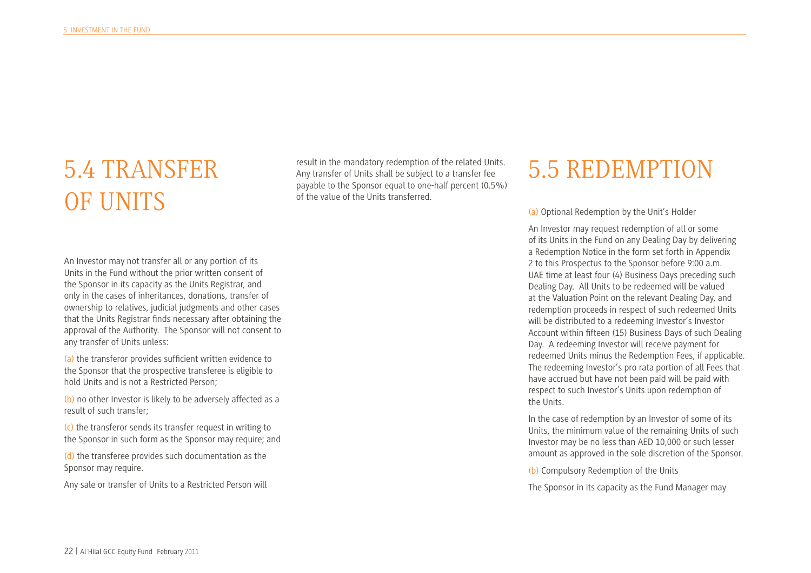# 5.4 TRANSFER OF UNITS

result in the mandatory redemption of the related Units. Any transfer of Units shall be subject to a transfer fee payable to the Sponsor equal to one-half percent (0.5%) of the value of the Units transferred.

#### 5.5 REDEMPTION

(a) Optional Redemption by the Unit's Holder

An Investor may request redemption of all or some of its Units in the Fund on any Dealing Day by delivering a Redemption Notice in the form set forth in Appendix 2 to this Prospectus to the Sponsor before 9:00 a.m. UAE time at least four (4) Business Days preceding such Dealing Day. All Units to be redeemed will be valued at the Valuation Point on the relevant Dealing Day, and redemption proceeds in respect of such redeemed Units will be distributed to a redeeming Investor's Investor Account within ffteen (15) Business Days of such Dealing Day. A redeeming Investor will receive payment for redeemed Units minus the Redemption Fees, if applicable. The redeeming Investor's pro rata portion of all Fees that have accrued but have not been paid will be paid with respect to such Investor's Units upon redemption of the Units.

In the case of redemption by an Investor of some of its Units, the minimum value of the remaining Units of such Investor may be no less than AED 10,000 or such lesser amount as approved in the sole discretion of the Sponsor.

(b) Compulsory Redemption of the Units

The Sponsor in its capacity as the Fund Manager may

An Investor may not transfer all or any portion of its Units in the Fund without the prior written consent of the Sponsor in its capacity as the Units Registrar, and only in the cases of inheritances, donations, transfer of ownership to relatives, judicial judgments and other cases that the Units Registrar fnds necessary after obtaining the approval of the Authority. The Sponsor will not consent to any transfer of Units unless:

(a) the transferor provides sufficient written evidence to the Sponsor that the prospective transferee is eligible to hold Units and is not a Restricted Person;

(b) no other Investor is likely to be adversely affected as a result of such transfer;

(c) the transferor sends its transfer request in writing to the Sponsor in such form as the Sponsor may require; and

(d) the transferee provides such documentation as the Sponsor may require.

Any sale or transfer of Units to a Restricted Person will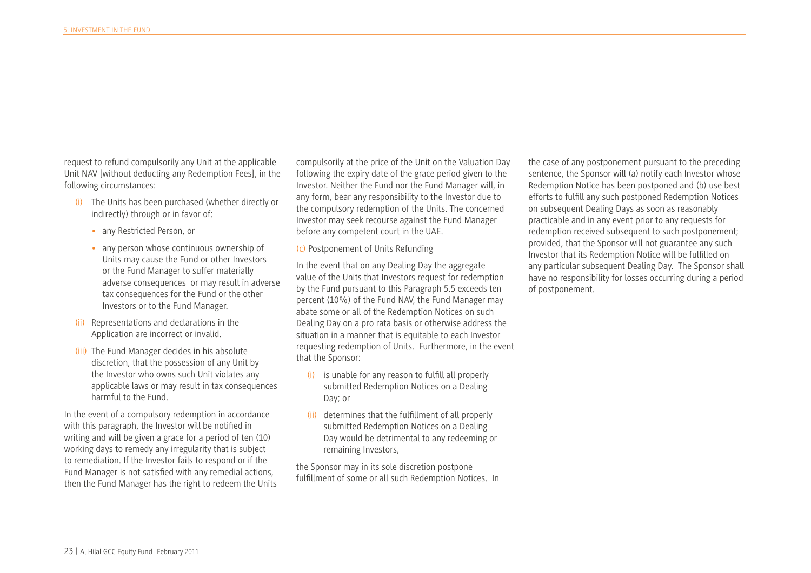request to refund compulsorily any Unit at the applicable Unit NAV [without deducting any Redemption Fees], in the following circumstances:

- (i) The Units has been purchased (whether directly or indirectly) through or in favor of:
	- any Restricted Person, or
	- any person whose continuous ownership of Units may cause the Fund or other Investors or the Fund Manager to suffer materially adverse consequences or may result in adverse tax consequences for the Fund or the other Investors or to the Fund Manager.
- (ii) Representations and declarations in the Application are incorrect or invalid.
- (iii) The Fund Manager decides in his absolute discretion, that the possession of any Unit by the Investor who owns such Unit violates any applicable laws or may result in tax consequences harmful to the Fund.

In the event of a compulsory redemption in accordance with this paragraph, the Investor will be notifed in writing and will be given a grace for a period of ten (10) working days to remedy any irregularity that is subject to remediation. If the Investor fails to respond or if the Fund Manager is not satisfed with any remedial actions, then the Fund Manager has the right to redeem the Units compulsorily at the price of the Unit on the Valuation Day following the expiry date of the grace period given to the Investor. Neither the Fund nor the Fund Manager will, in any form, bear any responsibility to the Investor due to the compulsory redemption of the Units. The concerned Investor may seek recourse against the Fund Manager before any competent court in the UAE.

(c) Postponement of Units Refunding

In the event that on any Dealing Day the aggregate value of the Units that Investors request for redemption by the Fund pursuant to this Paragraph 5.5 exceeds ten percent (10%) of the Fund NAV, the Fund Manager may abate some or all of the Redemption Notices on such Dealing Day on a pro rata basis or otherwise address the situation in a manner that is equitable to each Investor requesting redemption of Units. Furthermore, in the event that the Sponsor:

- (i) is unable for any reason to fulfll all properly submitted Redemption Notices on a Dealing Day; or
- (ii) determines that the fulfllment of all properly submitted Redemption Notices on a Dealing Day would be detrimental to any redeeming or remaining Investors,

the Sponsor may in its sole discretion postpone fulfllment of some or all such Redemption Notices. In

the case of any postponement pursuant to the preceding sentence, the Sponsor will (a) notify each Investor whose Redemption Notice has been postponed and (b) use best efforts to fulfll any such postponed Redemption Notices on subsequent Dealing Days as soon as reasonably practicable and in any event prior to any requests for redemption received subsequent to such postponement; provided, that the Sponsor will not guarantee any such Investor that its Redemption Notice will be fulflled on any particular subsequent Dealing Day. The Sponsor shall have no responsibility for losses occurring during a period of postponement.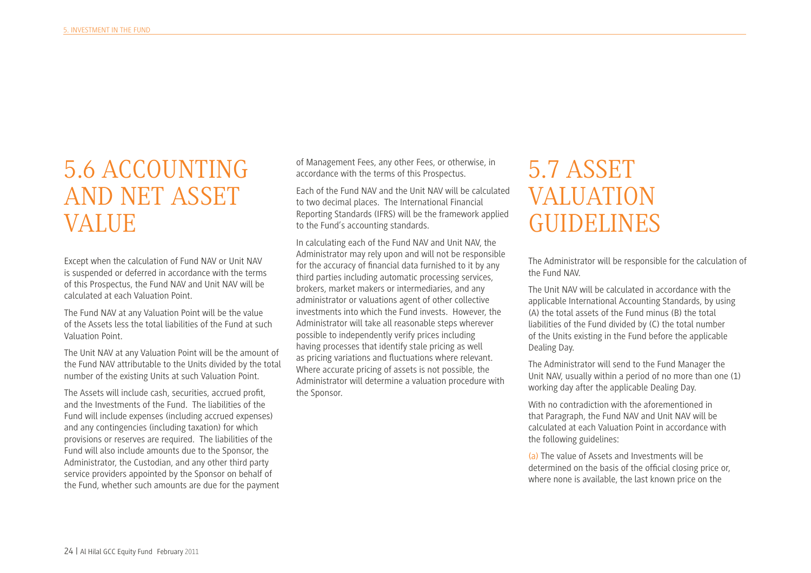## 5.6 ACCOUNTING AND NET ASSET VALUE

Except when the calculation of Fund NAV or Unit NAV is suspended or deferred in accordance with the terms of this Prospectus, the Fund NAV and Unit NAV will be calculated at each Valuation Point.

The Fund NAV at any Valuation Point will be the value of the Assets less the total liabilities of the Fund at such Valuation Point.

The Unit NAV at any Valuation Point will be the amount of the Fund NAV attributable to the Units divided by the total number of the existing Units at such Valuation Point.

The Assets will include cash, securities, accrued proft, and the Investments of the Fund. The liabilities of the Fund will include expenses (including accrued expenses) and any contingencies (including taxation) for which provisions or reserves are required. The liabilities of the Fund will also include amounts due to the Sponsor, the Administrator, the Custodian, and any other third party service providers appointed by the Sponsor on behalf of the Fund, whether such amounts are due for the payment of Management Fees, any other Fees, or otherwise, in accordance with the terms of this Prospectus.

Each of the Fund NAV and the Unit NAV will be calculated to two decimal places. The International Financial Reporting Standards (IFRS) will be the framework applied to the Fund's accounting standards.

In calculating each of the Fund NAV and Unit NAV, the Administrator may rely upon and will not be responsible for the accuracy of fnancial data furnished to it by any third parties including automatic processing services, brokers, market makers or intermediaries, and any administrator or valuations agent of other collective investments into which the Fund invests. However, the Administrator will take all reasonable steps wherever possible to independently verify prices including having processes that identify stale pricing as well as pricing variations and fuctuations where relevant. Where accurate pricing of assets is not possible, the Administrator will determine a valuation procedure with the Sponsor.

#### 5.7 ASSET VALUATION GUIDELINES

The Administrator will be responsible for the calculation of the Fund NAV.

The Unit NAV will be calculated in accordance with the applicable International Accounting Standards, by using (A) the total assets of the Fund minus (B) the total liabilities of the Fund divided by (C) the total number of the Units existing in the Fund before the applicable Dealing Day.

The Administrator will send to the Fund Manager the Unit NAV, usually within a period of no more than one (1) working day after the applicable Dealing Day.

With no contradiction with the aforementioned in that Paragraph, the Fund NAV and Unit NAV will be calculated at each Valuation Point in accordance with the following guidelines:

(a) The value of Assets and Investments will be determined on the basis of the offcial closing price or, where none is available, the last known price on the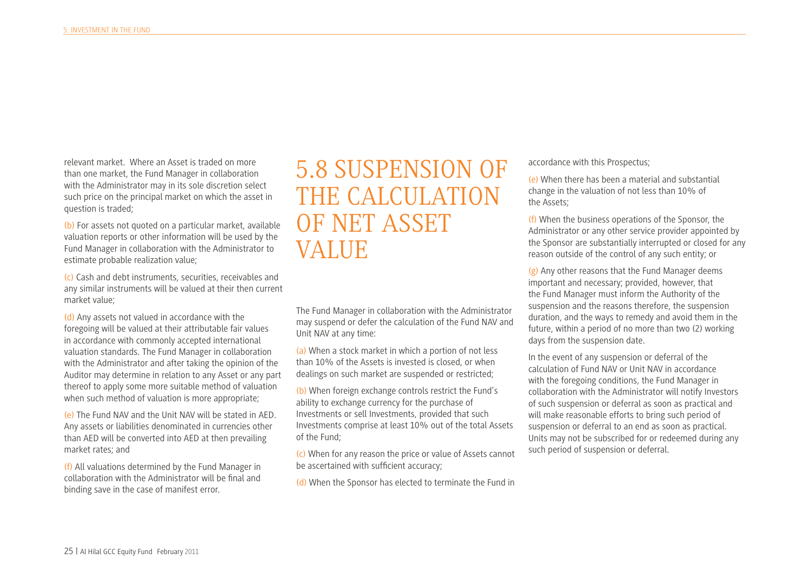relevant market. Where an Asset is traded on more than one market, the Fund Manager in collaboration with the Administrator may in its sole discretion select such price on the principal market on which the asset in question is traded;

(b) For assets not quoted on a particular market, available valuation reports or other information will be used by the Fund Manager in collaboration with the Administrator to estimate probable realization value;

(c) Cash and debt instruments, securities, receivables and any similar instruments will be valued at their then current market value;

(d) Any assets not valued in accordance with the foregoing will be valued at their attributable fair values in accordance with commonly accepted international valuation standards. The Fund Manager in collaboration with the Administrator and after taking the opinion of the Auditor may determine in relation to any Asset or any part thereof to apply some more suitable method of valuation when such method of valuation is more appropriate;

(e) The Fund NAV and the Unit NAV will be stated in AED. Any assets or liabilities denominated in currencies other than AED will be converted into AED at then prevailing market rates; and

(f) All valuations determined by the Fund Manager in collaboration with the Administrator will be fnal and binding save in the case of manifest error.

## 5.8 SUSPENSION OF THE CALCULATION OF NET ASSET VALUE

The Fund Manager in collaboration with the Administrator may suspend or defer the calculation of the Fund NAV and Unit NAV at any time:

(a) When a stock market in which a portion of not less than 10% of the Assets is invested is closed, or when dealings on such market are suspended or restricted;

(b) When foreign exchange controls restrict the Fund's ability to exchange currency for the purchase of Investments or sell Investments, provided that such Investments comprise at least 10% out of the total Assets of the Fund;

(c) When for any reason the price or value of Assets cannot be ascertained with sufficient accuracy;

(d) When the Sponsor has elected to terminate the Fund in

#### accordance with this Prospectus;

(e) When there has been a material and substantial change in the valuation of not less than 10% of the Assets;

(f) When the business operations of the Sponsor, the Administrator or any other service provider appointed by the Sponsor are substantially interrupted or closed for any reason outside of the control of any such entity; or

(g) Any other reasons that the Fund Manager deems important and necessary; provided, however, that the Fund Manager must inform the Authority of the suspension and the reasons therefore, the suspension duration, and the ways to remedy and avoid them in the future, within a period of no more than two (2) working days from the suspension date.

In the event of any suspension or deferral of the calculation of Fund NAV or Unit NAV in accordance with the foregoing conditions, the Fund Manager in collaboration with the Administrator will notify Investors of such suspension or deferral as soon as practical and will make reasonable efforts to bring such period of suspension or deferral to an end as soon as practical. Units may not be subscribed for or redeemed during any such period of suspension or deferral.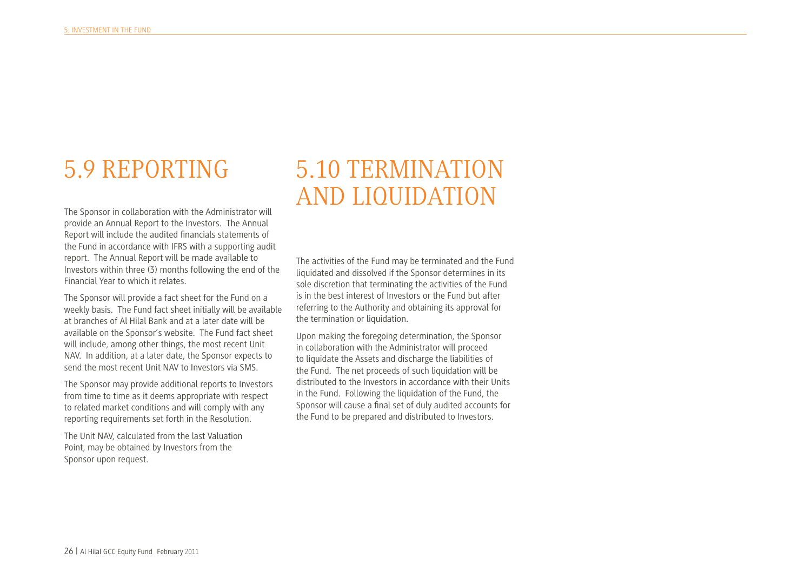# 5.9 REPORTING

The Sponsor in collaboration with the Administrator will provide an Annual Report to the Investors. The Annual Report will include the audited fnancials statements of the Fund in accordance with IFRS with a supporting audit report. The Annual Report will be made available to Investors within three (3) months following the end of the Financial Year to which it relates.

The Sponsor will provide a fact sheet for the Fund on a weekly basis. The Fund fact sheet initially will be available at branches of Al Hilal Bank and at a later date will be available on the Sponsor's website. The Fund fact sheet will include, among other things, the most recent Unit NAV. In addition, at a later date, the Sponsor expects to send the most recent Unit NAV to Investors via SMS.

The Sponsor may provide additional reports to Investors from time to time as it deems appropriate with respect to related market conditions and will comply with any reporting requirements set forth in the Resolution.

The Unit NAV, calculated from the last Valuation Point, may be obtained by Investors from the Sponsor upon request.

### 5.10 TERMINATION AND LIQUIDATION

The activities of the Fund may be terminated and the Fund liquidated and dissolved if the Sponsor determines in its sole discretion that terminating the activities of the Fund is in the best interest of Investors or the Fund but after referring to the Authority and obtaining its approval for the termination or liquidation.

Upon making the foregoing determination, the Sponsor in collaboration with the Administrator will proceed to liquidate the Assets and discharge the liabilities of the Fund. The net proceeds of such liquidation will be distributed to the Investors in accordance with their Units in the Fund. Following the liquidation of the Fund, the Sponsor will cause a fnal set of duly audited accounts for the Fund to be prepared and distributed to Investors.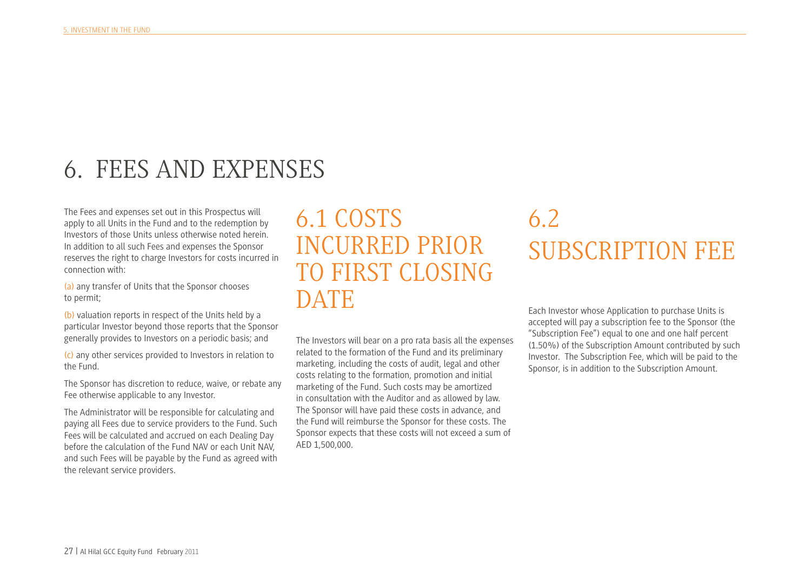## 6. FEES AND EXPENSES

The Fees and expenses set out in this Prospectus will apply to all Units in the Fund and to the redemption by Investors of those Units unless otherwise noted herein. In addition to all such Fees and expenses the Sponsor reserves the right to charge Investors for costs incurred in connection with:

(a) any transfer of Units that the Sponsor chooses to permit;

(b) valuation reports in respect of the Units held by a particular Investor beyond those reports that the Sponsor generally provides to Investors on a periodic basis; and

(c) any other services provided to Investors in relation to the Fund.

The Sponsor has discretion to reduce, waive, or rebate any Fee otherwise applicable to any Investor.

The Administrator will be responsible for calculating and paying all Fees due to service providers to the Fund. Such Fees will be calculated and accrued on each Dealing Day before the calculation of the Fund NAV or each Unit NAV, and such Fees will be payable by the Fund as agreed with the relevant service providers.

#### 6.1 COSTS INCURRED PRIOR TO FIRST CLOSING **DATE**

The Investors will bear on a pro rata basis all the expenses related to the formation of the Fund and its preliminary marketing, including the costs of audit, legal and other costs relating to the formation, promotion and initial marketing of the Fund. Such costs may be amortized in consultation with the Auditor and as allowed by law. The Sponsor will have paid these costs in advance, and the Fund will reimburse the Sponsor for these costs. The Sponsor expects that these costs will not exceed a sum of AED 1,500,000.

# 6.2 SUBSCRIPTION FEE

Each Investor whose Application to purchase Units is accepted will pay a subscription fee to the Sponsor (the "Subscription Fee") equal to one and one half percent (1.50%) of the Subscription Amount contributed by such Investor. The Subscription Fee, which will be paid to the Sponsor, is in addition to the Subscription Amount.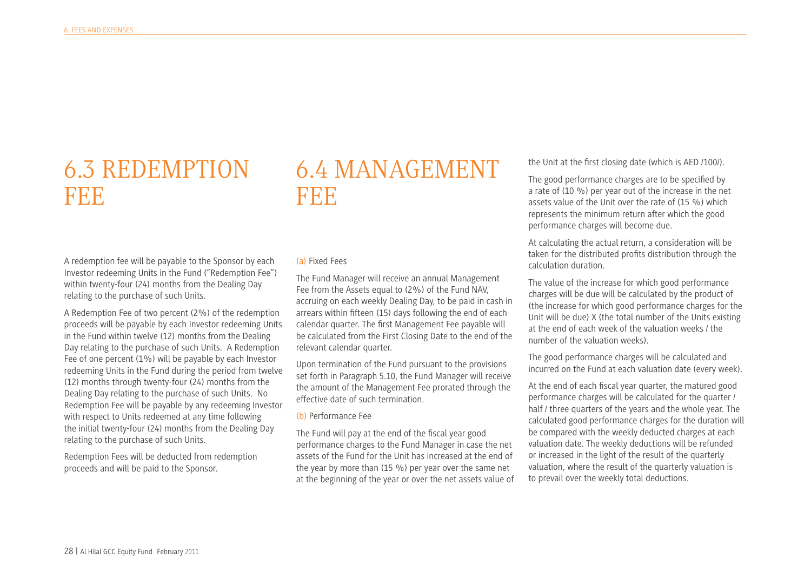#### 6.3 REDEMPTION FEE

#### 6.4 MANAGEMENT FEE

A redemption fee will be payable to the Sponsor by each Investor redeeming Units in the Fund ("Redemption Fee") within twenty-four (24) months from the Dealing Day relating to the purchase of such Units.

A Redemption Fee of two percent (2%) of the redemption proceeds will be payable by each Investor redeeming Units in the Fund within twelve (12) months from the Dealing Day relating to the purchase of such Units. A Redemption Fee of one percent (1%) will be payable by each Investor redeeming Units in the Fund during the period from twelve (12) months through twenty-four (24) months from the Dealing Day relating to the purchase of such Units. No Redemption Fee will be payable by any redeeming Investor with respect to Units redeemed at any time following the initial twenty-four (24) months from the Dealing Day relating to the purchase of such Units.

Redemption Fees will be deducted from redemption proceeds and will be paid to the Sponsor.

#### (a) Fixed Fees

The Fund Manager will receive an annual Management Fee from the Assets equal to (2%) of the Fund NAV, accruing on each weekly Dealing Day, to be paid in cash in arrears within ffteen (15) days following the end of each calendar quarter. The frst Management Fee payable will be calculated from the First Closing Date to the end of the relevant calendar quarter.

Upon termination of the Fund pursuant to the provisions set forth in Paragraph 5.10, the Fund Manager will receive the amount of the Management Fee prorated through the effective date of such termination.

#### (b) Performance Fee

The Fund will pay at the end of the fscal year good performance charges to the Fund Manager in case the net assets of the Fund for the Unit has increased at the end of the year by more than (15 %) per year over the same net at the beginning of the year or over the net assets value of the Unit at the frst closing date (which is AED /100/).

The good performance charges are to be specifed by a rate of (10 %) per year out of the increase in the net assets value of the Unit over the rate of (15 %) which represents the minimum return after which the good performance charges will become due.

At calculating the actual return, a consideration will be taken for the distributed profts distribution through the calculation duration.

The value of the increase for which good performance charges will be due will be calculated by the product of (the increase for which good performance charges for the Unit will be due) X (the total number of the Units existing at the end of each week of the valuation weeks / the number of the valuation weeks).

The good performance charges will be calculated and incurred on the Fund at each valuation date (every week).

At the end of each fscal year quarter, the matured good performance charges will be calculated for the quarter / half / three quarters of the years and the whole year. The calculated good performance charges for the duration will be compared with the weekly deducted charges at each valuation date. The weekly deductions will be refunded or increased in the light of the result of the quarterly valuation, where the result of the quarterly valuation is to prevail over the weekly total deductions.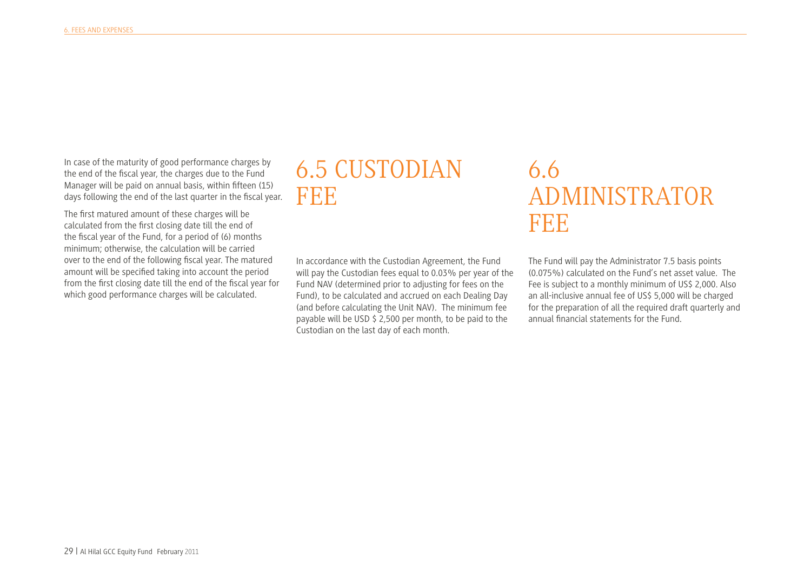In case of the maturity of good performance charges by the end of the fscal year, the charges due to the Fund Manager will be paid on annual basis, within ffteen (15) days following the end of the last quarter in the fscal year.

The frst matured amount of these charges will be calculated from the frst closing date till the end of the fscal year of the Fund, for a period of (6) months minimum; otherwise, the calculation will be carried over to the end of the following fscal year. The matured amount will be specifed taking into account the period from the frst closing date till the end of the fscal year for which good performance charges will be calculated.

#### 6.5 CUSTODIAN FEE

In accordance with the Custodian Agreement, the Fund will pay the Custodian fees equal to 0.03% per year of the Fund NAV (determined prior to adjusting for fees on the Fund), to be calculated and accrued on each Dealing Day (and before calculating the Unit NAV). The minimum fee payable will be USD \$ 2,500 per month, to be paid to the Custodian on the last day of each month.

#### 6.6 ADMINISTRATOR FEE

The Fund will pay the Administrator 7.5 basis points (0.075%) calculated on the Fund's net asset value. The Fee is subject to a monthly minimum of US\$ 2,000. Also an all-inclusive annual fee of US\$ 5,000 will be charged for the preparation of all the required draft quarterly and annual fnancial statements for the Fund.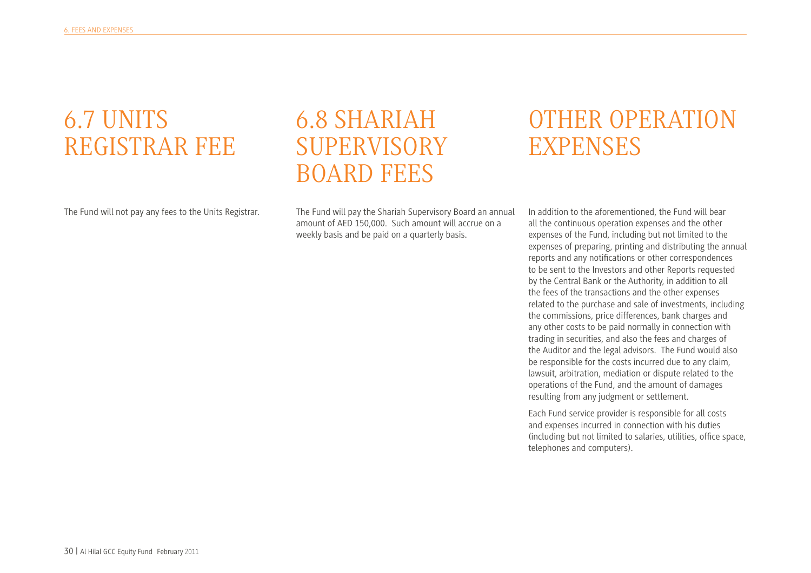## 6.7 UNITS REGISTRAR FEE

The Fund will not pay any fees to the Units Registrar.

## 6.8 SHARIAH SUPERVISORY BOARD FEES

The Fund will pay the Shariah Supervisory Board an annual amount of AED 150,000. Such amount will accrue on a weekly basis and be paid on a quarterly basis.

#### OTHER OPERATION **EXPENSES**

In addition to the aforementioned, the Fund will bear all the continuous operation expenses and the other expenses of the Fund, including but not limited to the expenses of preparing, printing and distributing the annual reports and any notifcations or other correspondences to be sent to the Investors and other Reports requested by the Central Bank or the Authority, in addition to all the fees of the transactions and the other expenses related to the purchase and sale of investments, including the commissions, price differences, bank charges and any other costs to be paid normally in connection with trading in securities, and also the fees and charges of the Auditor and the legal advisors. The Fund would also be responsible for the costs incurred due to any claim, lawsuit, arbitration, mediation or dispute related to the operations of the Fund, and the amount of damages resulting from any judgment or settlement.

Each Fund service provider is responsible for all costs and expenses incurred in connection with his duties (including but not limited to salaries, utilities, offce space, telephones and computers).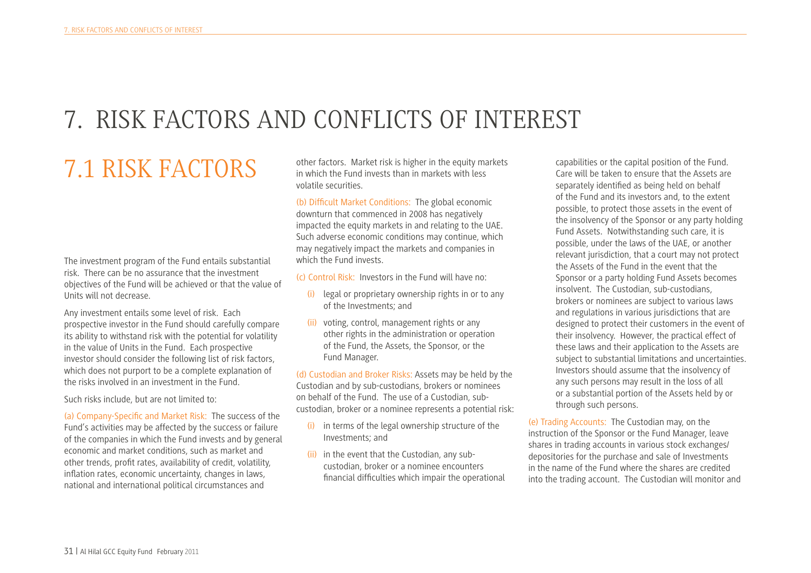# 7. RISK FACTORS AND CONFLICTS OF INTEREST

# 7.1 RISK FACTORS

The investment program of the Fund entails substantial risk. There can be no assurance that the investment objectives of the Fund will be achieved or that the value of Units will not decrease.

Any investment entails some level of risk. Each prospective investor in the Fund should carefully compare its ability to withstand risk with the potential for volatility in the value of Units in the Fund. Each prospective investor should consider the following list of risk factors, which does not purport to be a complete explanation of the risks involved in an investment in the Fund.

Such risks include, but are not limited to:

(a) Company-Specifc and Market Risk: The success of the Fund's activities may be affected by the success or failure of the companies in which the Fund invests and by general economic and market conditions, such as market and other trends, proft rates, availability of credit, volatility, infation rates, economic uncertainty, changes in laws, national and international political circumstances and

other factors. Market risk is higher in the equity markets in which the Fund invests than in markets with less volatile securities.

(b) Diffcult Market Conditions: The global economic downturn that commenced in 2008 has negatively impacted the equity markets in and relating to the UAE. Such adverse economic conditions may continue, which may negatively impact the markets and companies in which the Fund invests.

(c) Control Risk: Investors in the Fund will have no:

- (i) legal or proprietary ownership rights in or to any of the Investments; and
- (ii) voting, control, management rights or any other rights in the administration or operation of the Fund, the Assets, the Sponsor, or the Fund Manager.

(d) Custodian and Broker Risks: Assets may be held by the Custodian and by sub-custodians, brokers or nominees on behalf of the Fund. The use of a Custodian, subcustodian, broker or a nominee represents a potential risk:

- (i) in terms of the legal ownership structure of the Investments; and
- (ii) in the event that the Custodian, any subcustodian, broker or a nominee encounters fnancial diffculties which impair the operational

capabilities or the capital position of the Fund. Care will be taken to ensure that the Assets are separately identifed as being held on behalf of the Fund and its investors and, to the extent possible, to protect those assets in the event of the insolvency of the Sponsor or any party holding Fund Assets. Notwithstanding such care, it is possible, under the laws of the UAE, or another relevant jurisdiction, that a court may not protect the Assets of the Fund in the event that the Sponsor or a party holding Fund Assets becomes insolvent. The Custodian, sub-custodians, brokers or nominees are subject to various laws and regulations in various jurisdictions that are designed to protect their customers in the event of their insolvency. However, the practical effect of these laws and their application to the Assets are subject to substantial limitations and uncertainties. Investors should assume that the insolvency of any such persons may result in the loss of all or a substantial portion of the Assets held by or through such persons.

(e) Trading Accounts: The Custodian may, on the instruction of the Sponsor or the Fund Manager, leave shares in trading accounts in various stock exchanges/ depositories for the purchase and sale of Investments in the name of the Fund where the shares are credited into the trading account. The Custodian will monitor and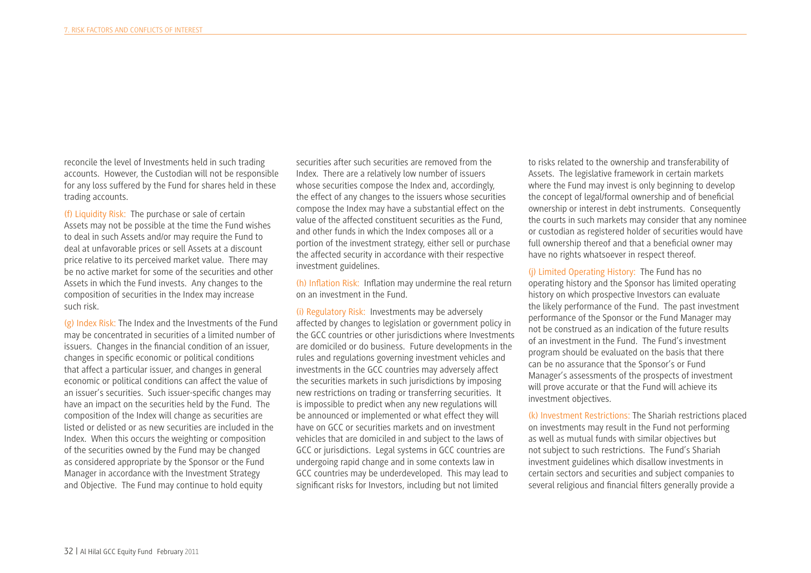reconcile the level of Investments held in such trading accounts. However, the Custodian will not be responsible for any loss suffered by the Fund for shares held in these trading accounts.

(f) Liquidity Risk: The purchase or sale of certain Assets may not be possible at the time the Fund wishes to deal in such Assets and/or may require the Fund to deal at unfavorable prices or sell Assets at a discount price relative to its perceived market value. There may be no active market for some of the securities and other Assets in which the Fund invests. Any changes to the composition of securities in the Index may increase such risk.

(g) Index Risk: The Index and the Investments of the Fund may be concentrated in securities of a limited number of issuers. Changes in the fnancial condition of an issuer, changes in specifc economic or political conditions that affect a particular issuer, and changes in general economic or political conditions can affect the value of an issuer's securities. Such issuer-specifc changes may have an impact on the securities held by the Fund. The composition of the Index will change as securities are listed or delisted or as new securities are included in the Index. When this occurs the weighting or composition of the securities owned by the Fund may be changed as considered appropriate by the Sponsor or the Fund Manager in accordance with the Investment Strategy and Objective. The Fund may continue to hold equity

securities after such securities are removed from the Index. There are a relatively low number of issuers whose securities compose the Index and, accordingly, the effect of any changes to the issuers whose securities compose the Index may have a substantial effect on the value of the affected constituent securities as the Fund, and other funds in which the Index composes all or a portion of the investment strategy, either sell or purchase the affected security in accordance with their respective investment guidelines.

(h) Infation Risk: Infation may undermine the real return on an investment in the Fund.

(i) Regulatory Risk: Investments may be adversely affected by changes to legislation or government policy in the GCC countries or other jurisdictions where Investments are domiciled or do business. Future developments in the rules and regulations governing investment vehicles and investments in the GCC countries may adversely affect the securities markets in such jurisdictions by imposing new restrictions on trading or transferring securities. It is impossible to predict when any new regulations will be announced or implemented or what effect they will have on GCC or securities markets and on investment vehicles that are domiciled in and subject to the laws of GCC or jurisdictions. Legal systems in GCC countries are undergoing rapid change and in some contexts law in GCC countries may be underdeveloped. This may lead to signifcant risks for Investors, including but not limited

to risks related to the ownership and transferability of Assets. The legislative framework in certain markets where the Fund may invest is only beginning to develop the concept of legal/formal ownership and of benefcial ownership or interest in debt instruments. Consequently the courts in such markets may consider that any nominee or custodian as registered holder of securities would have full ownership thereof and that a benefcial owner may have no rights whatsoever in respect thereof.

(j) Limited Operating History: The Fund has no operating history and the Sponsor has limited operating history on which prospective Investors can evaluate the likely performance of the Fund. The past investment performance of the Sponsor or the Fund Manager may not be construed as an indication of the future results of an investment in the Fund. The Fund's investment program should be evaluated on the basis that there can be no assurance that the Sponsor's or Fund Manager's assessments of the prospects of investment will prove accurate or that the Fund will achieve its investment objectives.

(k) Investment Restrictions: The Shariah restrictions placed on investments may result in the Fund not performing as well as mutual funds with similar objectives but not subject to such restrictions. The Fund's Shariah investment guidelines which disallow investments in certain sectors and securities and subject companies to several religious and fnancial flters generally provide a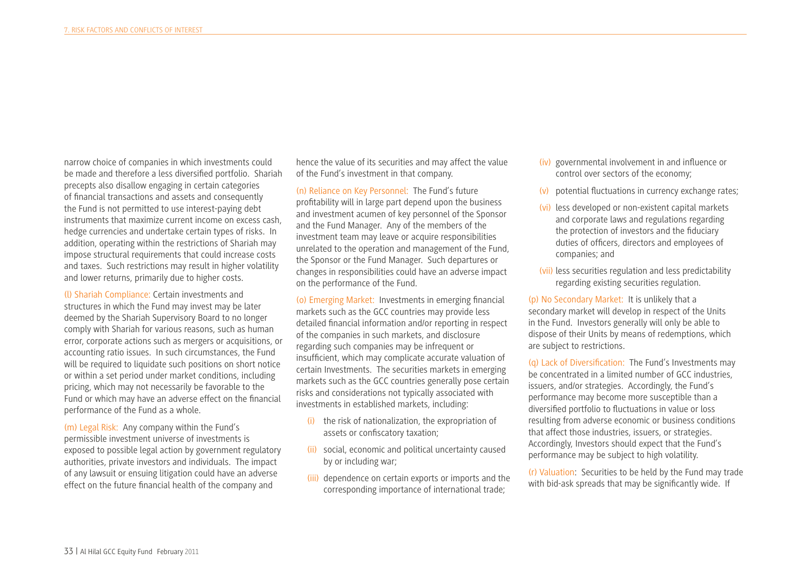narrow choice of companies in which investments could be made and therefore a less diversifed portfolio. Shariah precepts also disallow engaging in certain categories of fnancial transactions and assets and consequently the Fund is not permitted to use interest-paying debt instruments that maximize current income on excess cash, hedge currencies and undertake certain types of risks. In addition, operating within the restrictions of Shariah may impose structural requirements that could increase costs and taxes. Such restrictions may result in higher volatility and lower returns, primarily due to higher costs.

(l) Shariah Compliance: Certain investments and structures in which the Fund may invest may be later deemed by the Shariah Supervisory Board to no longer comply with Shariah for various reasons, such as human error, corporate actions such as mergers or acquisitions, or accounting ratio issues. In such circumstances, the Fund will be required to liquidate such positions on short notice or within a set period under market conditions, including pricing, which may not necessarily be favorable to the Fund or which may have an adverse effect on the fnancial performance of the Fund as a whole.

(m) Legal Risk: Any company within the Fund's permissible investment universe of investments is exposed to possible legal action by government regulatory authorities, private investors and individuals. The impact of any lawsuit or ensuing litigation could have an adverse effect on the future fnancial health of the company and

hence the value of its securities and may affect the value of the Fund's investment in that company.

(n) Reliance on Key Personnel: The Fund's future proftability will in large part depend upon the business and investment acumen of key personnel of the Sponsor and the Fund Manager. Any of the members of the investment team may leave or acquire responsibilities unrelated to the operation and management of the Fund, the Sponsor or the Fund Manager. Such departures or changes in responsibilities could have an adverse impact on the performance of the Fund.

(o) Emerging Market: Investments in emerging fnancial markets such as the GCC countries may provide less detailed fnancial information and/or reporting in respect of the companies in such markets, and disclosure regarding such companies may be infrequent or insuffcient, which may complicate accurate valuation of certain Investments. The securities markets in emerging markets such as the GCC countries generally pose certain risks and considerations not typically associated with investments in established markets, including:

- (i) the risk of nationalization, the expropriation of assets or confscatory taxation;
- (ii) social, economic and political uncertainty caused by or including war;
- (iii) dependence on certain exports or imports and the corresponding importance of international trade;
- (iv) governmental involvement in and infuence or control over sectors of the economy;
- (v) potential fuctuations in currency exchange rates;
- (vi) less developed or non-existent capital markets and corporate laws and regulations regarding the protection of investors and the fduciary duties of officers, directors and employees of companies; and
- (vii) less securities regulation and less predictability regarding existing securities regulation.

(p) No Secondary Market: It is unlikely that a secondary market will develop in respect of the Units in the Fund. Investors generally will only be able to dispose of their Units by means of redemptions, which are subject to restrictions.

(q) Lack of Diversifcation: The Fund's Investments may be concentrated in a limited number of GCC industries, issuers, and/or strategies. Accordingly, the Fund's performance may become more susceptible than a diversifed portfolio to fuctuations in value or loss resulting from adverse economic or business conditions that affect those industries, issuers, or strategies. Accordingly, Investors should expect that the Fund's performance may be subject to high volatility.

(r) Valuation: Securities to be held by the Fund may trade with bid-ask spreads that may be signifcantly wide. If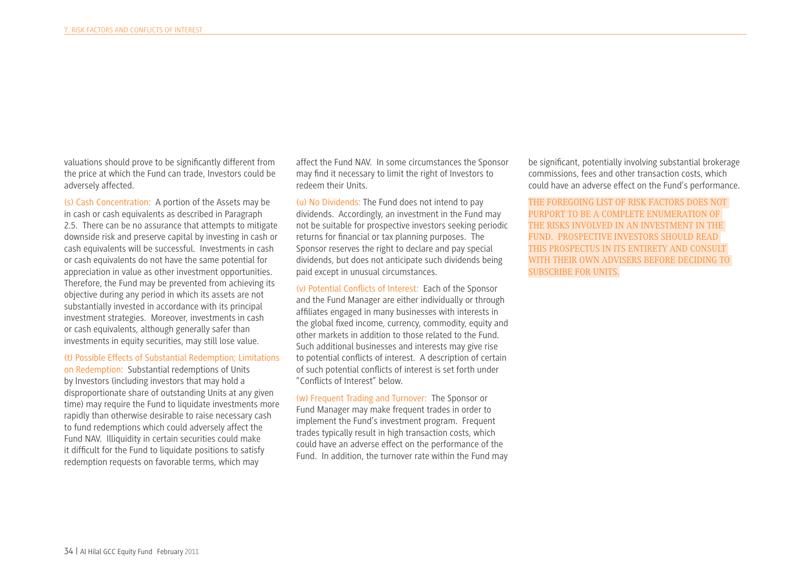valuations should prove to be signifcantly different from the price at which the Fund can trade, Investors could be adversely affected.

(s) Cash Concentration: A portion of the Assets may be in cash or cash equivalents as described in Paragraph 2.5. There can be no assurance that attempts to mitigate downside risk and preserve capital by investing in cash or cash equivalents will be successful. Investments in cash or cash equivalents do not have the same potential for appreciation in value as other investment opportunities. Therefore, the Fund may be prevented from achieving its objective during any period in which its assets are not substantially invested in accordance with its principal investment strategies. Moreover, investments in cash or cash equivalents, although generally safer than investments in equity securities, may still lose value.

#### (t) Possible Effects of Substantial Redemption; Limitations

on Redemption: Substantial redemptions of Units by Investors (including investors that may hold a disproportionate share of outstanding Units at any given time) may require the Fund to liquidate investments more rapidly than otherwise desirable to raise necessary cash to fund redemptions which could adversely affect the Fund NAV. Illiquidity in certain securities could make it diffcult for the Fund to liquidate positions to satisfy redemption requests on favorable terms, which may

affect the Fund NAV. In some circumstances the Sponsor may fnd it necessary to limit the right of Investors to redeem their Units.

(u) No Dividends: The Fund does not intend to pay dividends. Accordingly, an investment in the Fund may not be suitable for prospective investors seeking periodic returns for fnancial or tax planning purposes. The Sponsor reserves the right to declare and pay special dividends, but does not anticipate such dividends being paid except in unusual circumstances.

(v) Potential Conficts of Interest: Each of the Sponsor and the Fund Manager are either individually or through affliates engaged in many businesses with interests in the global fxed income, currency, commodity, equity and other markets in addition to those related to the Fund. Such additional businesses and interests may give rise to potential conficts of interest. A description of certain of such potential conficts of interest is set forth under "Conficts of Interest" below.

(w) Frequent Trading and Turnover: The Sponsor or Fund Manager may make frequent trades in order to implement the Fund's investment program. Frequent trades typically result in high transaction costs, which could have an adverse effect on the performance of the Fund. In addition, the turnover rate within the Fund may

be signifcant, potentially involving substantial brokerage commissions, fees and other transaction costs, which could have an adverse effect on the Fund's performance.

THE FOREGOING LIST OF RISK FACTORS DOES NOT PURPORT TO BE A COMPLETE ENUMERATION OF THE RISKS INVOLVED IN AN INVESTMENT IN THE FUND. PROSPECTIVE INVESTORS SHOULD READ THIS PROSPECTUS IN ITS ENTIRETY AND CONSULT WITH THEIR OWN ADVISERS BEFORE DECIDING TO SUBSCRIBE FOR UNITS.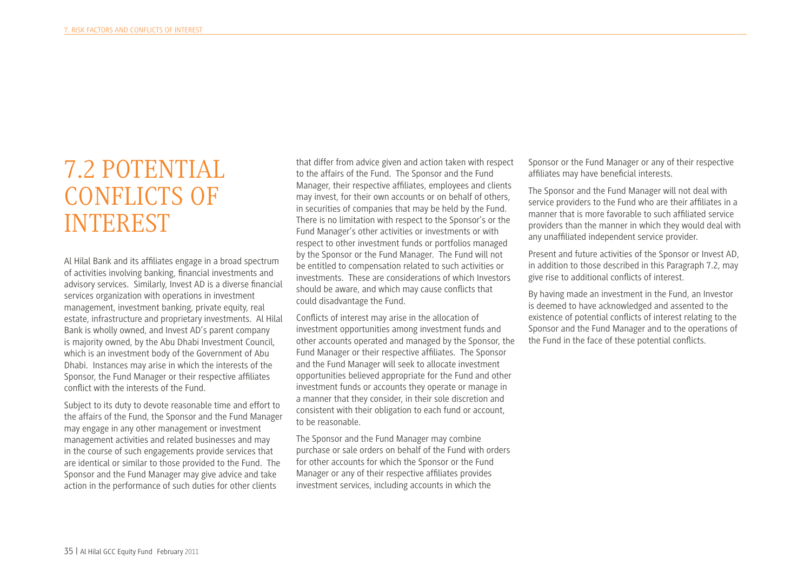### 7.2 POTENTIAL CONFLICTS OF INTEREST

Al Hilal Bank and its affliates engage in a broad spectrum of activities involving banking, fnancial investments and advisory services. Similarly, Invest AD is a diverse fnancial services organization with operations in investment management, investment banking, private equity, real estate, infrastructure and proprietary investments. Al Hilal Bank is wholly owned, and Invest AD's parent company is majority owned, by the Abu Dhabi Investment Council, which is an investment body of the Government of Abu Dhabi. Instances may arise in which the interests of the Sponsor, the Fund Manager or their respective affliates confict with the interests of the Fund.

Subject to its duty to devote reasonable time and effort to the affairs of the Fund, the Sponsor and the Fund Manager may engage in any other management or investment management activities and related businesses and may in the course of such engagements provide services that are identical or similar to those provided to the Fund. The Sponsor and the Fund Manager may give advice and take action in the performance of such duties for other clients

that differ from advice given and action taken with respect to the affairs of the Fund. The Sponsor and the Fund Manager, their respective affliates, employees and clients may invest, for their own accounts or on behalf of others, in securities of companies that may be held by the Fund. There is no limitation with respect to the Sponsor's or the Fund Manager's other activities or investments or with respect to other investment funds or portfolios managed by the Sponsor or the Fund Manager. The Fund will not be entitled to compensation related to such activities or investments. These are considerations of which Investors should be aware, and which may cause conficts that could disadvantage the Fund.

Conficts of interest may arise in the allocation of investment opportunities among investment funds and other accounts operated and managed by the Sponsor, the Fund Manager or their respective affliates. The Sponsor and the Fund Manager will seek to allocate investment opportunities believed appropriate for the Fund and other investment funds or accounts they operate or manage in a manner that they consider, in their sole discretion and consistent with their obligation to each fund or account, to be reasonable.

The Sponsor and the Fund Manager may combine purchase or sale orders on behalf of the Fund with orders for other accounts for which the Sponsor or the Fund Manager or any of their respective affliates provides investment services, including accounts in which the

Sponsor or the Fund Manager or any of their respective affliates may have benefcial interests.

The Sponsor and the Fund Manager will not deal with service providers to the Fund who are their affliates in a manner that is more favorable to such affliated service providers than the manner in which they would deal with any unaffliated independent service provider.

Present and future activities of the Sponsor or Invest AD, in addition to those described in this Paragraph 7.2, may give rise to additional conficts of interest.

By having made an investment in the Fund, an Investor is deemed to have acknowledged and assented to the existence of potential conficts of interest relating to the Sponsor and the Fund Manager and to the operations of the Fund in the face of these potential conficts.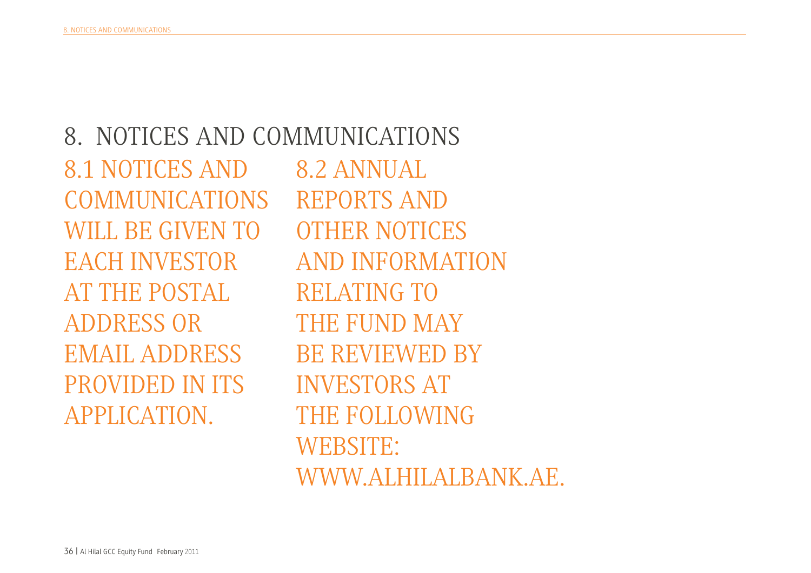8. NOTICES AND COMMUNICATIONS 8.1 NOTICES AND COMMUNICATIONS WILL BE GIVEN TO EACH INVESTOR AT THE POSTAL ADDRESS OR EMAIL ADDRESS PROVIDED IN ITS APPLICATION. 8.2 ANNUAL REPORTS AND OTHER NOTICES AND INFORMATION RELATING TO THE FUND MAY BE REVIEWED BY INVESTORS AT THE FOLLOWING WEBSITE:

WWW.ALHILALBANK.AE.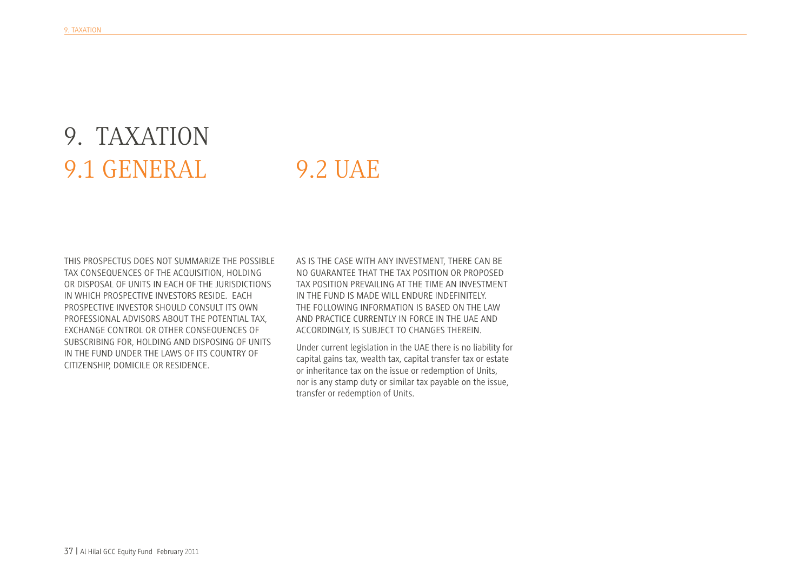# 9. TAXATION 9.1 GENERAL

#### 9.2 UAE

THIS PROSPECTUS DOES NOT SUMMARIZE THE POSSIBLE TAX CONSEQUENCES OF THE ACQUISITION, HOLDING OR DISPOSAL OF UNITS IN EACH OF THE JURISDICTIONS IN WHICH PROSPECTIVE INVESTORS RESIDE. EACH PROSPECTIVE INVESTOR SHOULD CONSULT ITS OWN PROFESSIONAL ADVISORS ABOUT THE POTENTIAL TAX, EXCHANGE CONTROL OR OTHER CONSEQUENCES OF SUBSCRIBING FOR, HOLDING AND DISPOSING OF UNITS IN THE FUND UNDER THE LAWS OF ITS COUNTRY OF CITIZENSHIP, DOMICILE OR RESIDENCE.

AS IS THE CASE WITH ANY INVESTMENT, THERE CAN BE NO GUARANTEE THAT THE TAX POSITION OR PROPOSED TAX POSITION PREVAILING AT THE TIME AN INVESTMENT IN THE FUND IS MADE WILL ENDURE INDEFINITELY. THE FOLLOWING INFORMATION IS BASED ON THE LAW AND PRACTICE CURRENTLY IN FORCE IN THE UAE AND ACCORDINGLY, IS SUBJECT TO CHANGES THEREIN.

Under current legislation in the UAE there is no liability for capital gains tax, wealth tax, capital transfer tax or estate or inheritance tax on the issue or redemption of Units, nor is any stamp duty or similar tax payable on the issue, transfer or redemption of Units.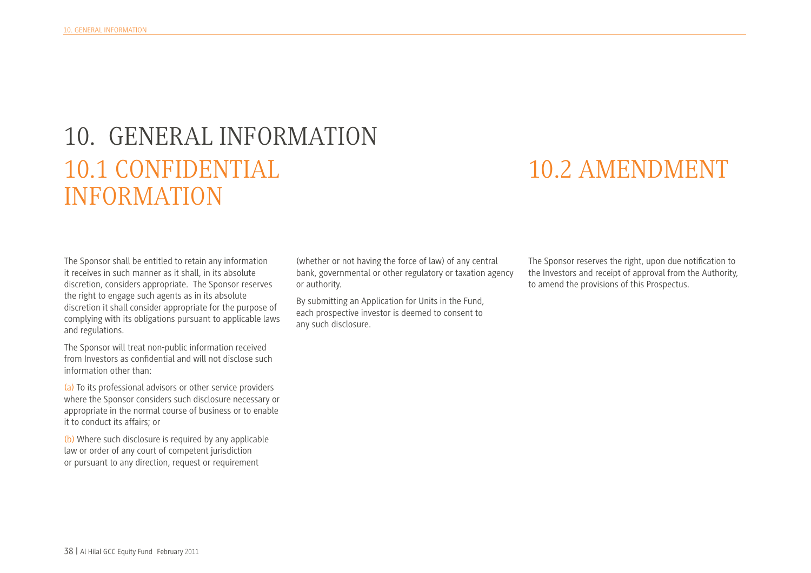# 10. GENERAL INFORMATION 10.1 CONFIDENTIAL INFORMATION

#### 10.2 AMENDMENT

The Sponsor shall be entitled to retain any information it receives in such manner as it shall, in its absolute discretion, considers appropriate. The Sponsor reserves the right to engage such agents as in its absolute discretion it shall consider appropriate for the purpose of complying with its obligations pursuant to applicable laws and regulations.

The Sponsor will treat non-public information received from Investors as confdential and will not disclose such information other than:

(a) To its professional advisors or other service providers where the Sponsor considers such disclosure necessary or appropriate in the normal course of business or to enable it to conduct its affairs; or

(b) Where such disclosure is required by any applicable law or order of any court of competent jurisdiction or pursuant to any direction, request or requirement

(whether or not having the force of law) of any central bank, governmental or other regulatory or taxation agency or authority.

By submitting an Application for Units in the Fund, each prospective investor is deemed to consent to any such disclosure.

The Sponsor reserves the right, upon due notifcation to the Investors and receipt of approval from the Authority, to amend the provisions of this Prospectus.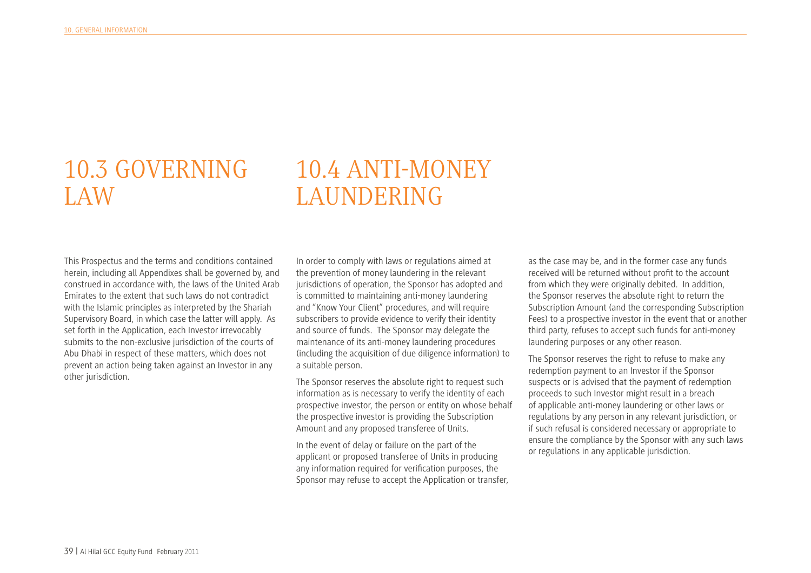## 10.3 GOVERNING LAW

#### 10.4 ANTI-MONEY LAUNDERING

This Prospectus and the terms and conditions contained herein, including all Appendixes shall be governed by, and construed in accordance with, the laws of the United Arab Emirates to the extent that such laws do not contradict with the Islamic principles as interpreted by the Shariah Supervisory Board, in which case the latter will apply. As set forth in the Application, each Investor irrevocably submits to the non-exclusive jurisdiction of the courts of Abu Dhabi in respect of these matters, which does not prevent an action being taken against an Investor in any other jurisdiction.

In order to comply with laws or regulations aimed at the prevention of money laundering in the relevant jurisdictions of operation, the Sponsor has adopted and is committed to maintaining anti-money laundering and "Know Your Client" procedures, and will require subscribers to provide evidence to verify their identity and source of funds. The Sponsor may delegate the maintenance of its anti-money laundering procedures (including the acquisition of due diligence information) to a suitable person.

The Sponsor reserves the absolute right to request such information as is necessary to verify the identity of each prospective investor, the person or entity on whose behalf the prospective investor is providing the Subscription Amount and any proposed transferee of Units.

In the event of delay or failure on the part of the applicant or proposed transferee of Units in producing any information required for verifcation purposes, the Sponsor may refuse to accept the Application or transfer,

as the case may be, and in the former case any funds received will be returned without proft to the account from which they were originally debited. In addition, the Sponsor reserves the absolute right to return the Subscription Amount (and the corresponding Subscription Fees) to a prospective investor in the event that or another third party, refuses to accept such funds for anti-money laundering purposes or any other reason.

The Sponsor reserves the right to refuse to make any redemption payment to an Investor if the Sponsor suspects or is advised that the payment of redemption proceeds to such Investor might result in a breach of applicable anti-money laundering or other laws or regulations by any person in any relevant jurisdiction, or if such refusal is considered necessary or appropriate to ensure the compliance by the Sponsor with any such laws or regulations in any applicable jurisdiction.